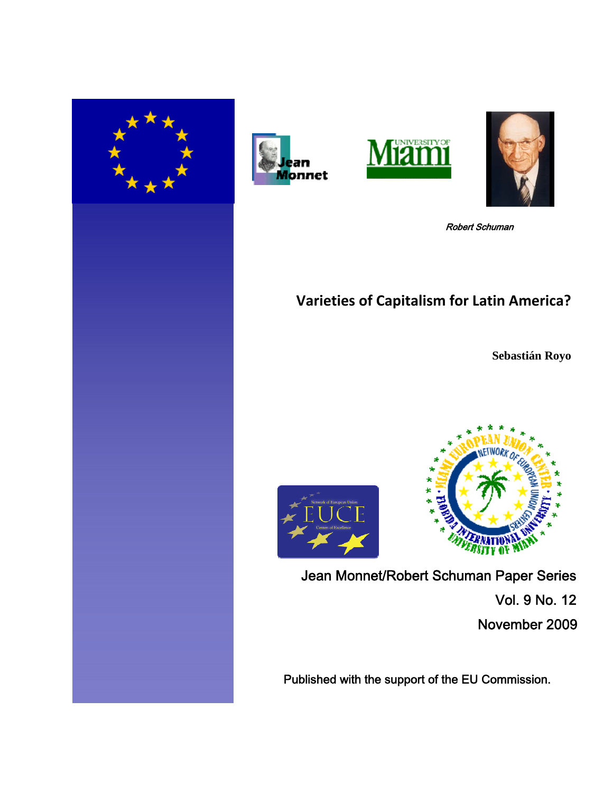







Robert Schuman

# **Varieties of Capitalism for Latin America?**

**Sebastián Royo**





Jean Monnet/Robert Schuman Paper Series Vol. 9 No. 12

November 2009

Published with the support of the EU Commission.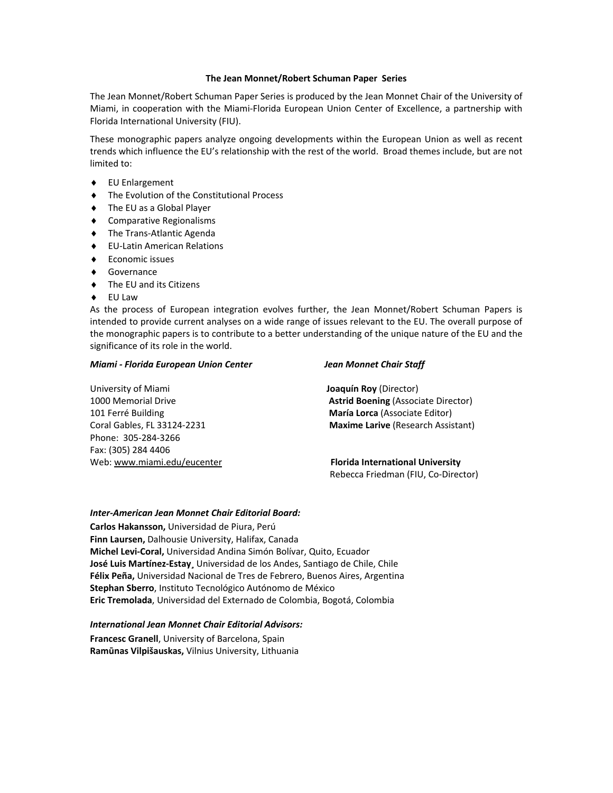#### **The Jean Monnet/Robert Schuman Paper Series**

The Jean Monnet/Robert Schuman Paper Series is produced by the Jean Monnet Chair of the University of Miami, in cooperation with the Miami‐Florida European Union Center of Excellence, a partnership with Florida International University (FIU).

These monographic papers analyze ongoing developments within the European Union as well as recent trends which influence the EU's relationship with the rest of the world. Broad themes include, but are not limited to:

- EU Enlargement
- The Evolution of the Constitutional Process
- ◆ The EU as a Global Player
- Comparative Regionalisms
- ◆ The Trans-Atlantic Agenda
- ◆ EU-Latin American Relations
- Economic issues
- Governance
- ◆ The EU and its Citizens
- EU Law

As the process of European integration evolves further, the Jean Monnet/Robert Schuman Papers is intended to provide current analyses on a wide range of issues relevant to the EU. The overall purpose of the monographic papers is to contribute to a better understanding of the unique nature of the EU and the significance of its role in the world.

#### *Miami ‐ Florida European Union Center Jean Monnet Chair Staff*

| University of Miami         | Joaquín Roy (Director)                     |
|-----------------------------|--------------------------------------------|
| 1000 Memorial Drive         | <b>Astrid Boening (Associate Director)</b> |
| 101 Ferré Building          | <b>María Lorca</b> (Associate Editor)      |
| Coral Gables, FL 33124-2231 | Maxime Larive (Research Assistant)         |
| Phone: 305-284-3266         |                                            |
| Fax: (305) 284 4406         |                                            |
| Web: www.miami.edu/eucenter | <b>Florida International University</b>    |
|                             | Rebecca Friedman (FIU, Co-Director)        |

#### *Inter‐American Jean Monnet Chair Editorial Board:*

**Carlos Hakansson,** Universidad de Piura, Perú **Finn Laursen,** Dalhousie University, Halifax, Canada **Michel Levi‐Coral,** Universidad Andina Simón Bolívar, Quito, Ecuador **José Luis Martínez‐Estay¸** Universidad de los Andes, Santiago de Chile, Chile **Félix Peña,** Universidad Nacional de Tres de Febrero, Buenos Aires, Argentina **Stephan Sberro**, Instituto Tecnológico Autónomo de México **Eric Tremolada**, Universidad del Externado de Colombia, Bogotá, Colombia

#### *International Jean Monnet Chair Editorial Advisors:*

**Francesc Granell**, University of Barcelona, Spain **Ramūnas Vilpišauskas,** Vilnius University, Lithuania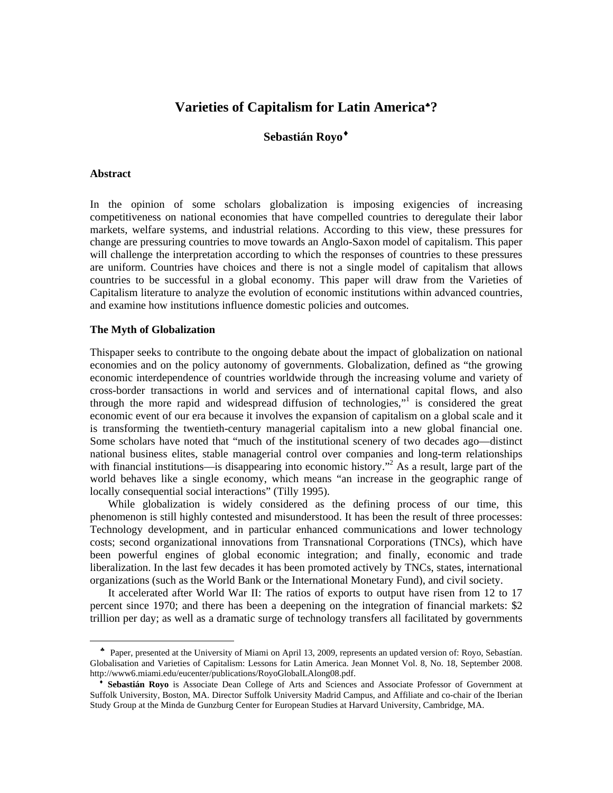## **Varieties of Capitalism for Latin America?**

### **Sebastián Royo**

#### **Abstract**

l

In the opinion of some scholars globalization is imposing exigencies of increasing competitiveness on national economies that have compelled countries to deregulate their labor markets, welfare systems, and industrial relations. According to this view, these pressures for change are pressuring countries to move towards an Anglo-Saxon model of capitalism. This paper will challenge the interpretation according to which the responses of countries to these pressures are uniform. Countries have choices and there is not a single model of capitalism that allows countries to be successful in a global economy. This paper will draw from the Varieties of Capitalism literature to analyze the evolution of economic institutions within advanced countries, and examine how institutions influence domestic policies and outcomes.

#### **The Myth of Globalization**

Thispaper seeks to contribute to the ongoing debate about the impact of globalization on national economies and on the policy autonomy of governments. Globalization, defined as "the growing economic interdependence of countries worldwide through the increasing volume and variety of cross-border transactions in world and services and of international capital flows, and also through the more rapid and widespread diffusion of technologies,"<sup>1</sup> is considered the great economic event of our era because it involves the expansion of capitalism on a global scale and it is transforming the twentieth-century managerial capitalism into a new global financial one. Some scholars have noted that "much of the institutional scenery of two decades ago––distinct national business elites, stable managerial control over companies and long-term relationships with financial institutions—is disappearing into economic history."<sup>2</sup> As a result, large part of the world behaves like a single economy, which means "an increase in the geographic range of locally consequential social interactions" (Tilly 1995).

While globalization is widely considered as the defining process of our time, this phenomenon is still highly contested and misunderstood. It has been the result of three processes: Technology development, and in particular enhanced communications and lower technology costs; second organizational innovations from Transnational Corporations (TNCs), which have been powerful engines of global economic integration; and finally, economic and trade liberalization. In the last few decades it has been promoted actively by TNCs, states, international organizations (such as the World Bank or the International Monetary Fund), and civil society.

It accelerated after World War II: The ratios of exports to output have risen from 12 to 17 percent since 1970; and there has been a deepening on the integration of financial markets: \$2 trillion per day; as well as a dramatic surge of technology transfers all facilitated by governments

 Paper, presented at the University of Miami on April 13, 2009, represents an updated version of: Royo, Sebastían. Globalisation and Varieties of Capitalism: Lessons for Latin America. Jean Monnet Vol. 8, No. 18, September 2008. http://www6.miami.edu/eucenter/publications/RoyoGlobalLAlong08.pdf.

 **Sebastián Royo** is Associate Dean College of Arts and Sciences and Associate Professor of Government at Suffolk University, Boston, MA. Director Suffolk University Madrid Campus, and Affiliate and co-chair of the Iberian Study Group at the Minda de Gunzburg Center for European Studies at Harvard University, Cambridge, MA.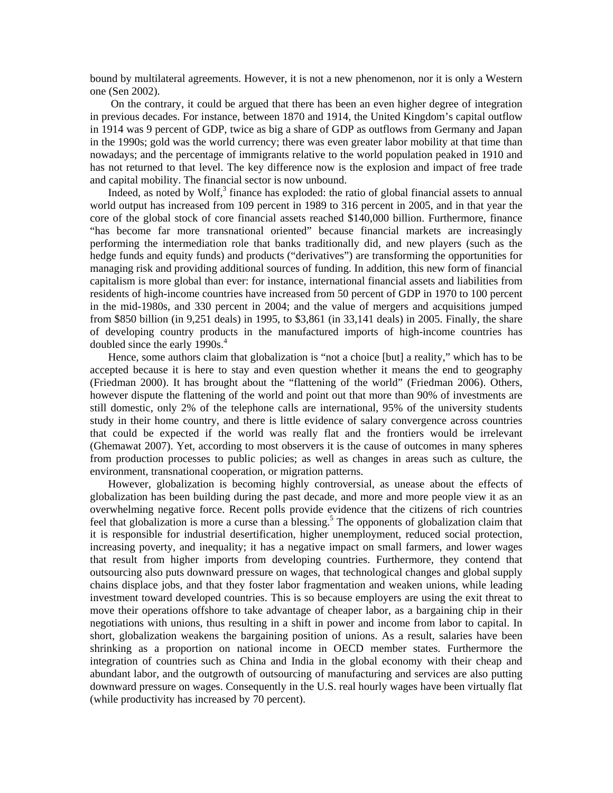bound by multilateral agreements. However, it is not a new phenomenon, nor it is only a Western one (Sen 2002).

 On the contrary, it could be argued that there has been an even higher degree of integration in previous decades. For instance, between 1870 and 1914, the United Kingdom's capital outflow in 1914 was 9 percent of GDP, twice as big a share of GDP as outflows from Germany and Japan in the 1990s; gold was the world currency; there was even greater labor mobility at that time than nowadays; and the percentage of immigrants relative to the world population peaked in 1910 and has not returned to that level. The key difference now is the explosion and impact of free trade and capital mobility. The financial sector is now unbound.

Indeed, as noted by Wolf, $3$  finance has exploded: the ratio of global financial assets to annual world output has increased from 109 percent in 1989 to 316 percent in 2005, and in that year the core of the global stock of core financial assets reached \$140,000 billion. Furthermore, finance "has become far more transnational oriented" because financial markets are increasingly performing the intermediation role that banks traditionally did, and new players (such as the hedge funds and equity funds) and products ("derivatives") are transforming the opportunities for managing risk and providing additional sources of funding. In addition, this new form of financial capitalism is more global than ever: for instance, international financial assets and liabilities from residents of high-income countries have increased from 50 percent of GDP in 1970 to 100 percent in the mid-1980s, and 330 percent in 2004; and the value of mergers and acquisitions jumped from \$850 billion (in 9,251 deals) in 1995, to \$3,861 (in 33,141 deals) in 2005. Finally, the share of developing country products in the manufactured imports of high-income countries has doubled since the early 1990s.<sup>4</sup>

Hence, some authors claim that globalization is "not a choice [but] a reality," which has to be accepted because it is here to stay and even question whether it means the end to geography (Friedman 2000). It has brought about the "flattening of the world" (Friedman 2006). Others, however dispute the flattening of the world and point out that more than 90% of investments are still domestic, only 2% of the telephone calls are international, 95% of the university students study in their home country, and there is little evidence of salary convergence across countries that could be expected if the world was really flat and the frontiers would be irrelevant (Ghemawat 2007). Yet, according to most observers it is the cause of outcomes in many spheres from production processes to public policies; as well as changes in areas such as culture, the environment, transnational cooperation, or migration patterns.

However, globalization is becoming highly controversial, as unease about the effects of globalization has been building during the past decade, and more and more people view it as an overwhelming negative force. Recent polls provide evidence that the citizens of rich countries feel that globalization is more a curse than a blessing.<sup>5</sup> The opponents of globalization claim that it is responsible for industrial desertification, higher unemployment, reduced social protection, increasing poverty, and inequality; it has a negative impact on small farmers, and lower wages that result from higher imports from developing countries. Furthermore, they contend that outsourcing also puts downward pressure on wages, that technological changes and global supply chains displace jobs, and that they foster labor fragmentation and weaken unions, while leading investment toward developed countries. This is so because employers are using the exit threat to move their operations offshore to take advantage of cheaper labor, as a bargaining chip in their negotiations with unions, thus resulting in a shift in power and income from labor to capital. In short, globalization weakens the bargaining position of unions. As a result, salaries have been shrinking as a proportion on national income in OECD member states. Furthermore the integration of countries such as China and India in the global economy with their cheap and abundant labor, and the outgrowth of outsourcing of manufacturing and services are also putting downward pressure on wages. Consequently in the U.S. real hourly wages have been virtually flat (while productivity has increased by 70 percent).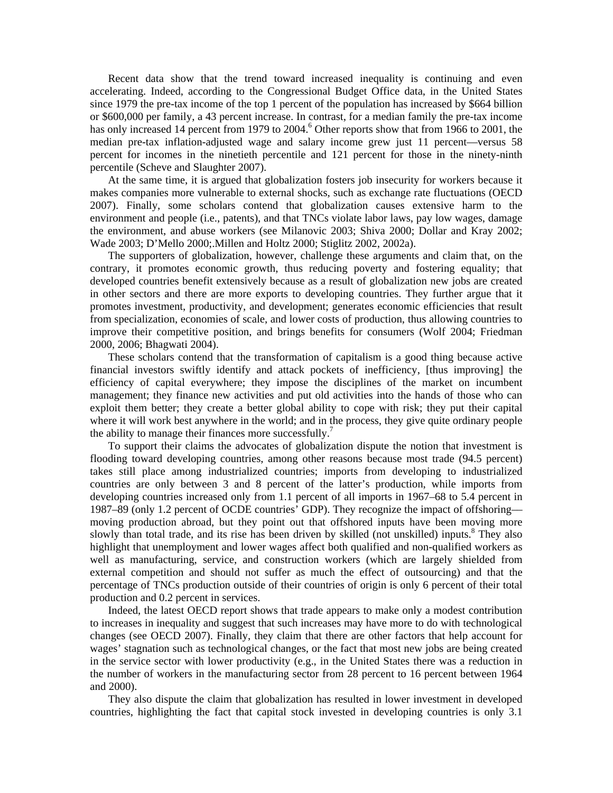Recent data show that the trend toward increased inequality is continuing and even accelerating. Indeed, according to the Congressional Budget Office data, in the United States since 1979 the pre-tax income of the top 1 percent of the population has increased by \$664 billion or \$600,000 per family, a 43 percent increase. In contrast, for a median family the pre-tax income has only increased 14 percent from 1979 to 2004.<sup>6</sup> Other reports show that from 1966 to 2001, the median pre-tax inflation-adjusted wage and salary income grew just 11 percent––versus 58 percent for incomes in the ninetieth percentile and 121 percent for those in the ninety-ninth percentile (Scheve and Slaughter 2007).

At the same time, it is argued that globalization fosters job insecurity for workers because it makes companies more vulnerable to external shocks, such as exchange rate fluctuations (OECD 2007). Finally, some scholars contend that globalization causes extensive harm to the environment and people (i.e., patents), and that TNCs violate labor laws, pay low wages, damage the environment, and abuse workers (see Milanovic 2003; Shiva 2000; Dollar and Kray 2002; Wade 2003; D'Mello 2000;.Millen and Holtz 2000; Stiglitz 2002, 2002a).

The supporters of globalization, however, challenge these arguments and claim that, on the contrary, it promotes economic growth, thus reducing poverty and fostering equality; that developed countries benefit extensively because as a result of globalization new jobs are created in other sectors and there are more exports to developing countries. They further argue that it promotes investment, productivity, and development; generates economic efficiencies that result from specialization, economies of scale, and lower costs of production, thus allowing countries to improve their competitive position, and brings benefits for consumers (Wolf 2004; Friedman 2000, 2006; Bhagwati 2004).

These scholars contend that the transformation of capitalism is a good thing because active financial investors swiftly identify and attack pockets of inefficiency, [thus improving] the efficiency of capital everywhere; they impose the disciplines of the market on incumbent management; they finance new activities and put old activities into the hands of those who can exploit them better; they create a better global ability to cope with risk; they put their capital where it will work best anywhere in the world; and in the process, they give quite ordinary people the ability to manage their finances more successfully.<sup>7</sup>

To support their claims the advocates of globalization dispute the notion that investment is flooding toward developing countries, among other reasons because most trade (94.5 percent) takes still place among industrialized countries; imports from developing to industrialized countries are only between 3 and 8 percent of the latter's production, while imports from developing countries increased only from 1.1 percent of all imports in 1967–68 to 5.4 percent in 1987–89 (only 1.2 percent of OCDE countries' GDP). They recognize the impact of offshoring–– moving production abroad, but they point out that offshored inputs have been moving more slowly than total trade, and its rise has been driven by skilled (not unskilled) inputs.<sup>8</sup> They also highlight that unemployment and lower wages affect both qualified and non-qualified workers as well as manufacturing, service, and construction workers (which are largely shielded from external competition and should not suffer as much the effect of outsourcing) and that the percentage of TNCs production outside of their countries of origin is only 6 percent of their total production and 0.2 percent in services.

Indeed, the latest OECD report shows that trade appears to make only a modest contribution to increases in inequality and suggest that such increases may have more to do with technological changes (see OECD 2007). Finally, they claim that there are other factors that help account for wages' stagnation such as technological changes, or the fact that most new jobs are being created in the service sector with lower productivity (e.g., in the United States there was a reduction in the number of workers in the manufacturing sector from 28 percent to 16 percent between 1964 and 2000).

They also dispute the claim that globalization has resulted in lower investment in developed countries, highlighting the fact that capital stock invested in developing countries is only 3.1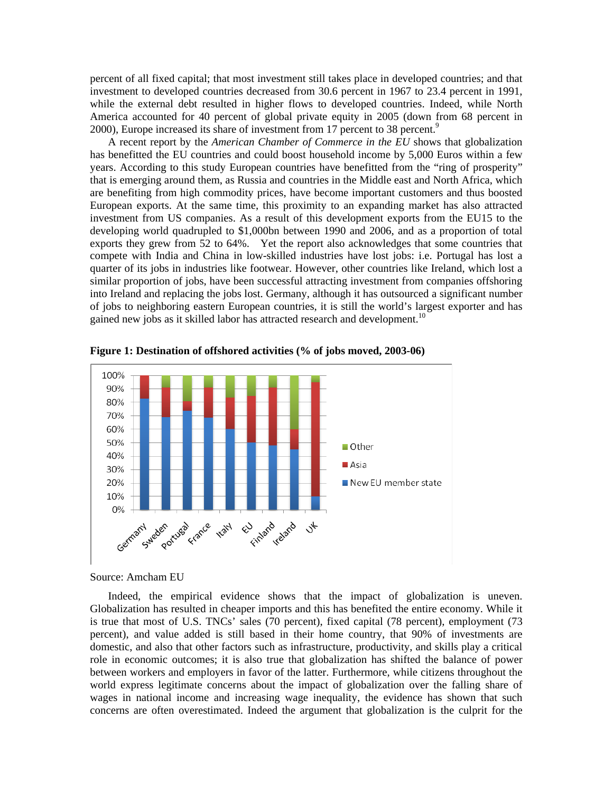percent of all fixed capital; that most investment still takes place in developed countries; and that investment to developed countries decreased from 30.6 percent in 1967 to 23.4 percent in 1991, while the external debt resulted in higher flows to developed countries. Indeed, while North America accounted for 40 percent of global private equity in 2005 (down from 68 percent in 2000), Europe increased its share of investment from 17 percent to 38 percent.<sup>9</sup>

A recent report by the *American Chamber of Commerce in the EU* shows that globalization has benefitted the EU countries and could boost household income by 5,000 Euros within a few years. According to this study European countries have benefitted from the "ring of prosperity" that is emerging around them, as Russia and countries in the Middle east and North Africa, which are benefiting from high commodity prices, have become important customers and thus boosted European exports. At the same time, this proximity to an expanding market has also attracted investment from US companies. As a result of this development exports from the EU15 to the developing world quadrupled to \$1,000bn between 1990 and 2006, and as a proportion of total exports they grew from 52 to 64%. Yet the report also acknowledges that some countries that compete with India and China in low-skilled industries have lost jobs: i.e. Portugal has lost a quarter of its jobs in industries like footwear. However, other countries like Ireland, which lost a similar proportion of jobs, have been successful attracting investment from companies offshoring into Ireland and replacing the jobs lost. Germany, although it has outsourced a significant number of jobs to neighboring eastern European countries, it is still the world's largest exporter and has gained new jobs as it skilled labor has attracted research and development.<sup>10</sup>



**Figure 1: Destination of offshored activities (% of jobs moved, 2003-06)** 

Source: Amcham EU

Indeed, the empirical evidence shows that the impact of globalization is uneven. Globalization has resulted in cheaper imports and this has benefited the entire economy. While it is true that most of U.S. TNCs' sales (70 percent), fixed capital (78 percent), employment (73 percent), and value added is still based in their home country, that 90% of investments are domestic, and also that other factors such as infrastructure, productivity, and skills play a critical role in economic outcomes; it is also true that globalization has shifted the balance of power between workers and employers in favor of the latter. Furthermore, while citizens throughout the world express legitimate concerns about the impact of globalization over the falling share of wages in national income and increasing wage inequality, the evidence has shown that such concerns are often overestimated. Indeed the argument that globalization is the culprit for the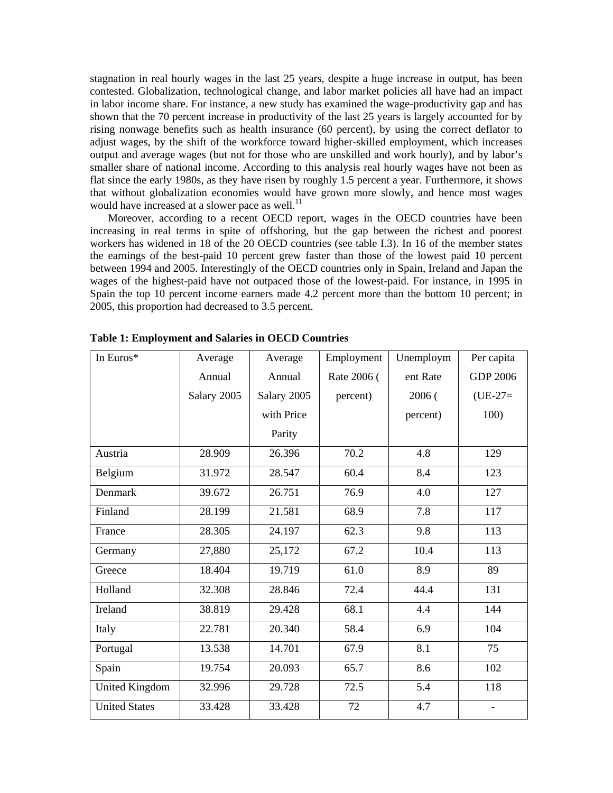stagnation in real hourly wages in the last 25 years, despite a huge increase in output, has been contested. Globalization, technological change, and labor market policies all have had an impact in labor income share. For instance, a new study has examined the wage-productivity gap and has shown that the 70 percent increase in productivity of the last 25 years is largely accounted for by rising nonwage benefits such as health insurance (60 percent), by using the correct deflator to adjust wages, by the shift of the workforce toward higher-skilled employment, which increases output and average wages (but not for those who are unskilled and work hourly), and by labor's smaller share of national income. According to this analysis real hourly wages have not been as flat since the early 1980s, as they have risen by roughly 1.5 percent a year. Furthermore, it shows that without globalization economies would have grown more slowly, and hence most wages would have increased at a slower pace as well. $^{11}$ 

Moreover, according to a recent OECD report, wages in the OECD countries have been increasing in real terms in spite of offshoring, but the gap between the richest and poorest workers has widened in 18 of the 20 OECD countries (see table I.3). In 16 of the member states the earnings of the best-paid 10 percent grew faster than those of the lowest paid 10 percent between 1994 and 2005. Interestingly of the OECD countries only in Spain, Ireland and Japan the wages of the highest-paid have not outpaced those of the lowest-paid. For instance, in 1995 in Spain the top 10 percent income earners made 4.2 percent more than the bottom 10 percent; in 2005, this proportion had decreased to 3.5 percent.

| In Euros*            | Average     | Average     | Employment  | Unemploym | Per capita      |
|----------------------|-------------|-------------|-------------|-----------|-----------------|
|                      | Annual      | Annual      | Rate 2006 ( | ent Rate  | <b>GDP 2006</b> |
|                      | Salary 2005 | Salary 2005 | percent)    | $2006$ (  | $(UE-27=$       |
|                      |             | with Price  |             | percent)  | 100)            |
|                      |             | Parity      |             |           |                 |
| Austria              | 28.909      | 26.396      | 70.2        | 4.8       | 129             |
| Belgium              | 31.972      | 28.547      | 60.4        | 8.4       | 123             |
| Denmark              | 39.672      | 26.751      | 76.9        | 4.0       | 127             |
| Finland              | 28.199      | 21.581      | 68.9        | 7.8       | 117             |
| France               | 28.305      | 24.197      | 62.3        | 9.8       | 113             |
| Germany              | 27,880      | 25,172      | 67.2        | 10.4      | 113             |
| Greece               | 18.404      | 19.719      | 61.0        | 8.9       | 89              |
| Holland              | 32.308      | 28.846      | 72.4        | 44.4      | 131             |
| Ireland              | 38.819      | 29.428      | 68.1        | 4.4       | 144             |
| Italy                | 22.781      | 20.340      | 58.4        | 6.9       | 104             |
| Portugal             | 13.538      | 14.701      | 67.9        | 8.1       | 75              |
| Spain                | 19.754      | 20.093      | 65.7        | 8.6       | 102             |
| United Kingdom       | 32.996      | 29.728      | 72.5        | 5.4       | 118             |
| <b>United States</b> | 33.428      | 33.428      | 72          | 4.7       |                 |

**Table 1: Employment and Salaries in OECD Countries**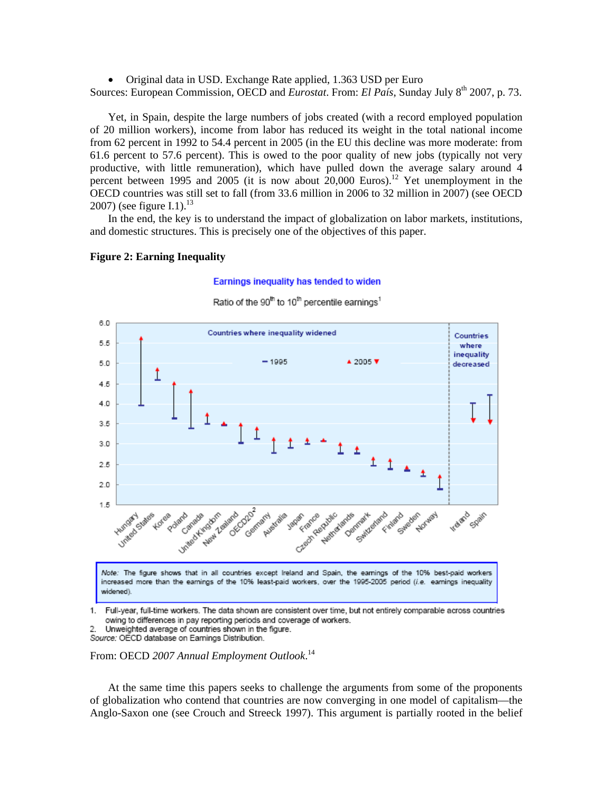• Original data in USD. Exchange Rate applied, 1.363 USD per Euro

Sources: European Commission, OECD and *Eurostat*. From: *El País*, Sunday July 8<sup>th</sup> 2007, p. 73.

Yet, in Spain, despite the large numbers of jobs created (with a record employed population of 20 million workers), income from labor has reduced its weight in the total national income from 62 percent in 1992 to 54.4 percent in 2005 (in the EU this decline was more moderate: from 61.6 percent to 57.6 percent). This is owed to the poor quality of new jobs (typically not very productive, with little remuneration), which have pulled down the average salary around 4 percent between 1995 and 2005 (it is now about  $20,000$  Euros).<sup>12</sup> Yet unemployment in the OECD countries was still set to fall (from 33.6 million in 2006 to 32 million in 2007) (see OECD 2007) (see figure I.1).<sup>13</sup>

In the end, the key is to understand the impact of globalization on labor markets, institutions, and domestic structures. This is precisely one of the objectives of this paper.

#### **Figure 2: Earning Inequality**

#### Earnings inequality has tended to widen

Ratio of the 90<sup>th</sup> to 10<sup>th</sup> percentile earnings<sup>1</sup>



1. Full-year, full-time workers. The data shown are consistent over time, but not entirely comparable across countries owing to differences in pay reporting periods and coverage of workers.

From: OECD *2007 Annual Employment Outlook*. 14

At the same time this papers seeks to challenge the arguments from some of the proponents of globalization who contend that countries are now converging in one model of capitalism––the Anglo-Saxon one (see Crouch and Streeck 1997). This argument is partially rooted in the belief

Unweighted average of countries shown in the figure.

Source: OECD database on Earnings Distribution.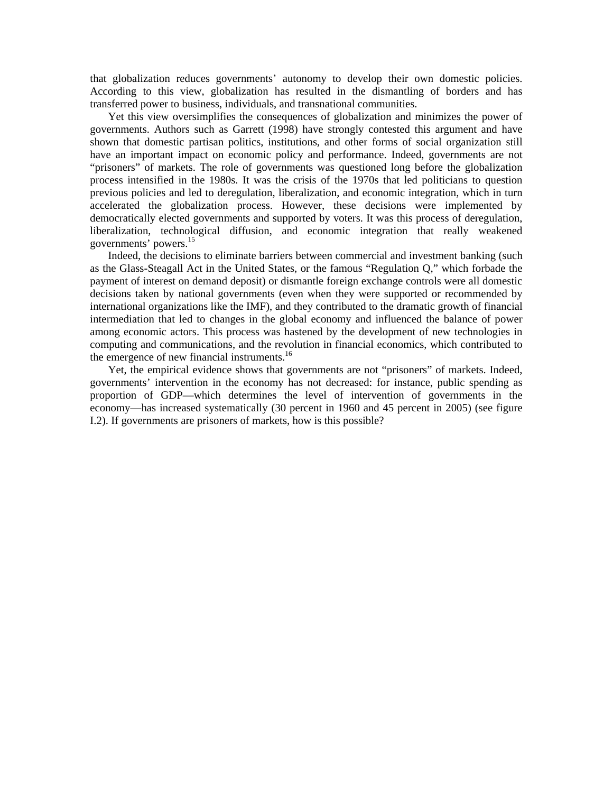that globalization reduces governments' autonomy to develop their own domestic policies. According to this view, globalization has resulted in the dismantling of borders and has transferred power to business, individuals, and transnational communities.

Yet this view oversimplifies the consequences of globalization and minimizes the power of governments. Authors such as Garrett (1998) have strongly contested this argument and have shown that domestic partisan politics, institutions, and other forms of social organization still have an important impact on economic policy and performance. Indeed, governments are not "prisoners" of markets. The role of governments was questioned long before the globalization process intensified in the 1980s. It was the crisis of the 1970s that led politicians to question previous policies and led to deregulation, liberalization, and economic integration, which in turn accelerated the globalization process. However, these decisions were implemented by democratically elected governments and supported by voters. It was this process of deregulation, liberalization, technological diffusion, and economic integration that really weakened governments' powers.<sup>15</sup>

Indeed, the decisions to eliminate barriers between commercial and investment banking (such as the Glass-Steagall Act in the United States, or the famous "Regulation Q," which forbade the payment of interest on demand deposit) or dismantle foreign exchange controls were all domestic decisions taken by national governments (even when they were supported or recommended by international organizations like the IMF), and they contributed to the dramatic growth of financial intermediation that led to changes in the global economy and influenced the balance of power among economic actors. This process was hastened by the development of new technologies in computing and communications, and the revolution in financial economics, which contributed to the emergence of new financial instruments.<sup>16</sup>

Yet, the empirical evidence shows that governments are not "prisoners" of markets. Indeed, governments' intervention in the economy has not decreased: for instance, public spending as proportion of GDP—which determines the level of intervention of governments in the economy—has increased systematically (30 percent in 1960 and 45 percent in 2005) (see figure I.2). If governments are prisoners of markets, how is this possible?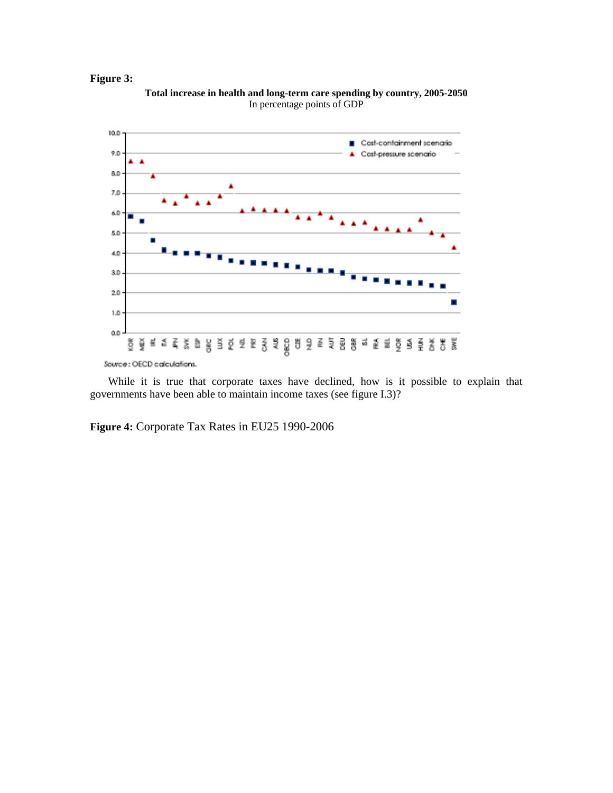#### **Figure 3:**



**Total increase in health and long-term care spending by country, 2005-2050** In percentage points of GDP

While it is true that corporate taxes have declined, how is it possible to explain that governments have been able to maintain income taxes (see figure I.3)?

**Figure 4:** Corporate Tax Rates in EU25 1990-2006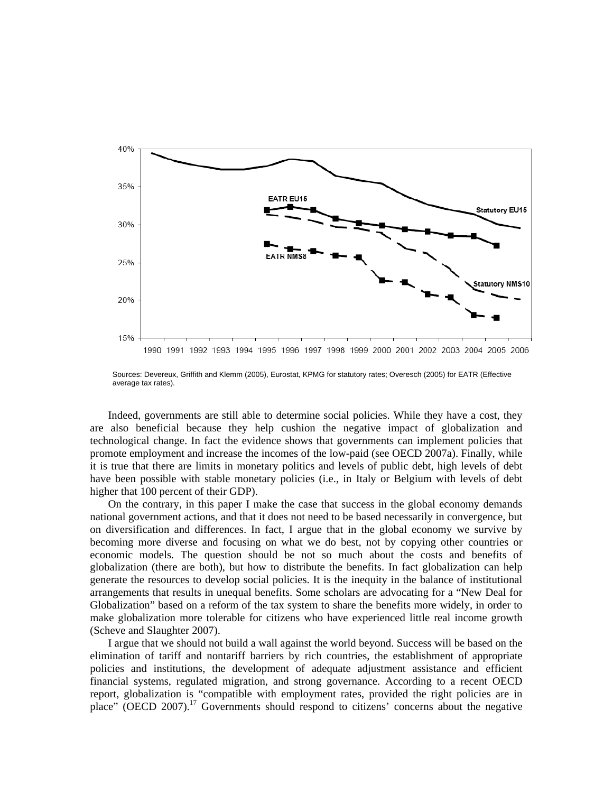

Sources: Devereux, Griffith and Klemm (2005), Eurostat, KPMG for statutory rates; Overesch (2005) for EATR (Effective average tax rates).

Indeed, governments are still able to determine social policies. While they have a cost, they are also beneficial because they help cushion the negative impact of globalization and technological change. In fact the evidence shows that governments can implement policies that promote employment and increase the incomes of the low-paid (see OECD 2007a). Finally, while it is true that there are limits in monetary politics and levels of public debt, high levels of debt have been possible with stable monetary policies (i.e., in Italy or Belgium with levels of debt higher that 100 percent of their GDP).

On the contrary, in this paper I make the case that success in the global economy demands national government actions, and that it does not need to be based necessarily in convergence, but on diversification and differences. In fact, I argue that in the global economy we survive by becoming more diverse and focusing on what we do best, not by copying other countries or economic models. The question should be not so much about the costs and benefits of globalization (there are both), but how to distribute the benefits. In fact globalization can help generate the resources to develop social policies. It is the inequity in the balance of institutional arrangements that results in unequal benefits. Some scholars are advocating for a "New Deal for Globalization" based on a reform of the tax system to share the benefits more widely, in order to make globalization more tolerable for citizens who have experienced little real income growth (Scheve and Slaughter 2007).

I argue that we should not build a wall against the world beyond. Success will be based on the elimination of tariff and nontariff barriers by rich countries, the establishment of appropriate policies and institutions, the development of adequate adjustment assistance and efficient financial systems, regulated migration, and strong governance. According to a recent OECD report, globalization is "compatible with employment rates, provided the right policies are in place" (OECD 2007).<sup>17</sup> Governments should respond to citizens' concerns about the negative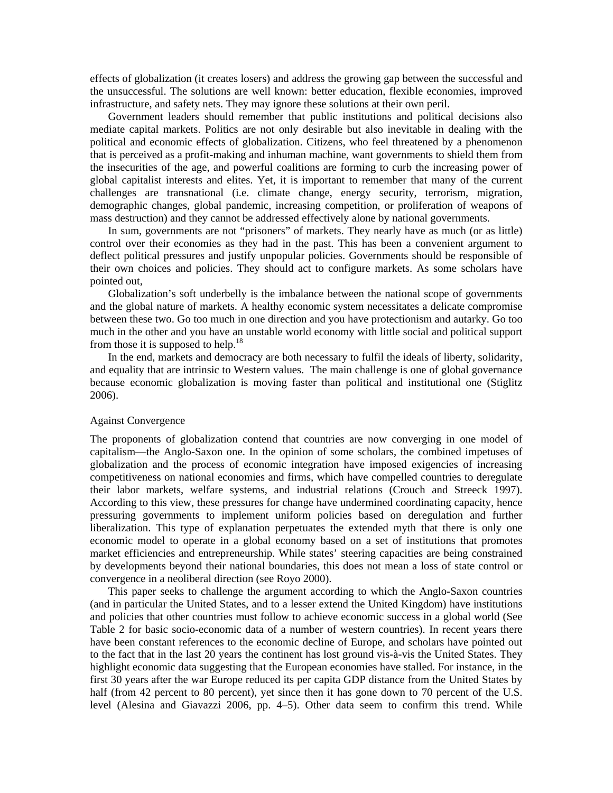effects of globalization (it creates losers) and address the growing gap between the successful and the unsuccessful. The solutions are well known: better education, flexible economies, improved infrastructure, and safety nets. They may ignore these solutions at their own peril.

Government leaders should remember that public institutions and political decisions also mediate capital markets. Politics are not only desirable but also inevitable in dealing with the political and economic effects of globalization. Citizens, who feel threatened by a phenomenon that is perceived as a profit-making and inhuman machine, want governments to shield them from the insecurities of the age, and powerful coalitions are forming to curb the increasing power of global capitalist interests and elites. Yet, it is important to remember that many of the current challenges are transnational (i.e. climate change, energy security, terrorism, migration, demographic changes, global pandemic, increasing competition, or proliferation of weapons of mass destruction) and they cannot be addressed effectively alone by national governments.

In sum, governments are not "prisoners" of markets. They nearly have as much (or as little) control over their economies as they had in the past. This has been a convenient argument to deflect political pressures and justify unpopular policies. Governments should be responsible of their own choices and policies. They should act to configure markets. As some scholars have pointed out,

Globalization's soft underbelly is the imbalance between the national scope of governments and the global nature of markets. A healthy economic system necessitates a delicate compromise between these two. Go too much in one direction and you have protectionism and autarky. Go too much in the other and you have an unstable world economy with little social and political support from those it is supposed to help.<sup>18</sup>

In the end, markets and democracy are both necessary to fulfil the ideals of liberty, solidarity, and equality that are intrinsic to Western values. The main challenge is one of global governance because economic globalization is moving faster than political and institutional one (Stiglitz 2006).

#### Against Convergence

The proponents of globalization contend that countries are now converging in one model of capitalism––the Anglo-Saxon one. In the opinion of some scholars, the combined impetuses of globalization and the process of economic integration have imposed exigencies of increasing competitiveness on national economies and firms, which have compelled countries to deregulate their labor markets, welfare systems, and industrial relations (Crouch and Streeck 1997). According to this view, these pressures for change have undermined coordinating capacity, hence pressuring governments to implement uniform policies based on deregulation and further liberalization. This type of explanation perpetuates the extended myth that there is only one economic model to operate in a global economy based on a set of institutions that promotes market efficiencies and entrepreneurship. While states' steering capacities are being constrained by developments beyond their national boundaries, this does not mean a loss of state control or convergence in a neoliberal direction (see Royo 2000).

This paper seeks to challenge the argument according to which the Anglo-Saxon countries (and in particular the United States, and to a lesser extend the United Kingdom) have institutions and policies that other countries must follow to achieve economic success in a global world (See Table 2 for basic socio-economic data of a number of western countries). In recent years there have been constant references to the economic decline of Europe, and scholars have pointed out to the fact that in the last 20 years the continent has lost ground vis-à-vis the United States. They highlight economic data suggesting that the European economies have stalled. For instance, in the first 30 years after the war Europe reduced its per capita GDP distance from the United States by half (from 42 percent to 80 percent), yet since then it has gone down to 70 percent of the U.S. level (Alesina and Giavazzi 2006, pp. 4–5). Other data seem to confirm this trend. While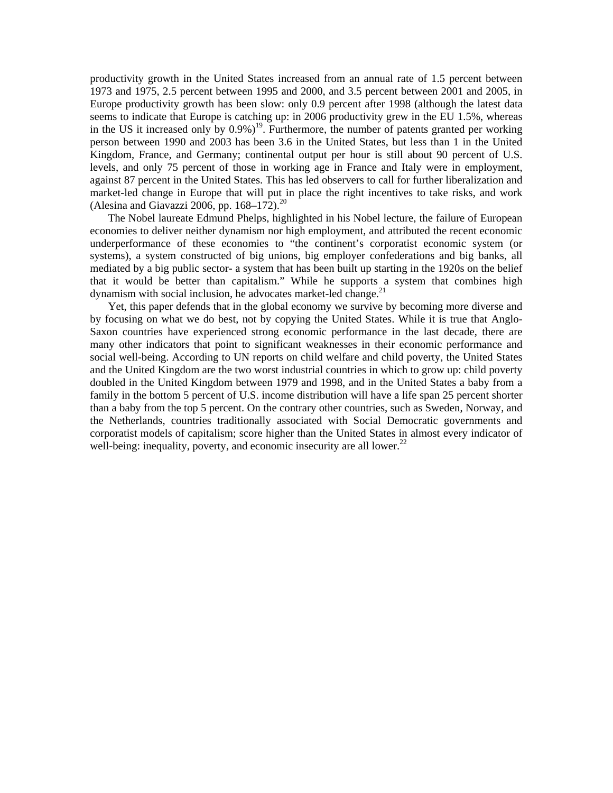productivity growth in the United States increased from an annual rate of 1.5 percent between 1973 and 1975, 2.5 percent between 1995 and 2000, and 3.5 percent between 2001 and 2005, in Europe productivity growth has been slow: only 0.9 percent after 1998 (although the latest data seems to indicate that Europe is catching up: in 2006 productivity grew in the EU 1.5%, whereas in the US it increased only by  $0.9\%$ )<sup>19</sup>. Furthermore, the number of patents granted per working person between 1990 and 2003 has been 3.6 in the United States, but less than 1 in the United Kingdom, France, and Germany; continental output per hour is still about 90 percent of U.S. levels, and only 75 percent of those in working age in France and Italy were in employment, against 87 percent in the United States. This has led observers to call for further liberalization and market-led change in Europe that will put in place the right incentives to take risks, and work (Alesina and Giavazzi 2006, pp.  $168-172$ )<sup>20</sup>

The Nobel laureate Edmund Phelps, highlighted in his Nobel lecture, the failure of European economies to deliver neither dynamism nor high employment, and attributed the recent economic underperformance of these economies to "the continent's corporatist economic system (or systems), a system constructed of big unions, big employer confederations and big banks, all mediated by a big public sector- a system that has been built up starting in the 1920s on the belief that it would be better than capitalism." While he supports a system that combines high dynamism with social inclusion, he advocates market-led change.<sup>21</sup>

Yet, this paper defends that in the global economy we survive by becoming more diverse and by focusing on what we do best, not by copying the United States. While it is true that Anglo-Saxon countries have experienced strong economic performance in the last decade, there are many other indicators that point to significant weaknesses in their economic performance and social well-being. According to UN reports on child welfare and child poverty, the United States and the United Kingdom are the two worst industrial countries in which to grow up: child poverty doubled in the United Kingdom between 1979 and 1998, and in the United States a baby from a family in the bottom 5 percent of U.S. income distribution will have a life span 25 percent shorter than a baby from the top 5 percent. On the contrary other countries, such as Sweden, Norway, and the Netherlands, countries traditionally associated with Social Democratic governments and corporatist models of capitalism; score higher than the United States in almost every indicator of well-being: inequality, poverty, and economic insecurity are all lower.<sup>22</sup>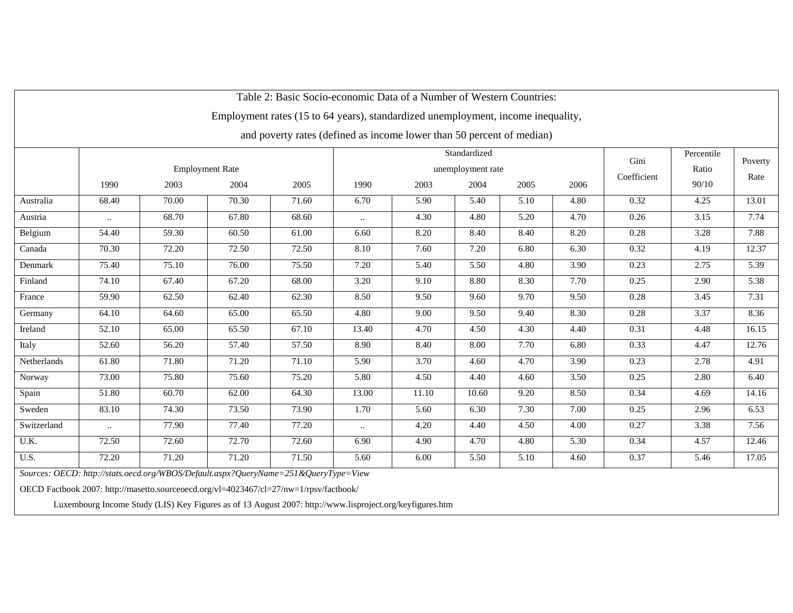| Table 2: Basic Socio-economic Data of a Number of Western Countries:<br>Employment rates (15 to 64 years), standardized unemployment, income inequality,<br>and poverty rates (defined as income lower than 50 percent of median)<br>Standardized<br>Percentile<br>Gini<br>Poverty<br><b>Employment Rate</b><br>unemployment rate<br>Ratio<br>Coefficient<br>Rate<br>1990<br>2003<br>2004<br>2005<br>1990<br>2003<br>2004<br>2005<br>2006<br>90/10<br>0.32<br>68.40<br>4.25<br>13.01<br>70.00<br>70.30<br>71.60<br>6.70<br>5.90<br>5.40<br>5.10<br>4.80<br>Australia<br>0.26<br>3.15<br>68.70<br>67.80<br>68.60<br>4.30<br>4.80<br>5.20<br>4.70<br>7.74<br>Austria<br>$\ldots$<br>$\ldots$<br>0.28<br>3.28<br>Belgium<br>54.40<br>59.30<br>60.50<br>61.00<br>8.20<br>8.40<br>8.40<br>8.20<br>7.88<br>6.60<br>72.20<br>72.50<br>7.60<br>Canada<br>70.30<br>72.50<br>8.10<br>7.20<br>6.30<br>0.32<br>4.19<br>6.80<br>12.37<br>2.75<br>75.40<br>75.10<br>76.00<br>75.50<br>7.20<br>5.50<br>3.90<br>0.23<br>5.39<br>Denmark<br>5.40<br>4.80<br>Finland<br>74.10<br>67.40<br>67.20<br>68.00<br>3.20<br>9.10<br>8.80<br>8.30<br>7.70<br>0.25<br>2.90<br>5.38<br>62.50<br>France<br>59.90<br>62.40<br>62.30<br>8.50<br>9.60<br>9.70<br>9.50<br>0.28<br>3.45<br>7.31<br>9.50<br>64.10<br>64.60<br>0.28<br>3.37<br>8.36<br>Germany<br>65.00<br>65.50<br>4.80<br>9.00<br>9.50<br>9.40<br>8.30<br>Ireland<br>52.10<br>65.00<br>65.50<br>67.10<br>0.31<br>4.48<br>16.15<br>13.40<br>4.70<br>4.50<br>4.30<br>4.40<br>52.60<br>56.20<br>57.40<br>8.90<br>8.40<br>8.00<br>7.70<br>6.80<br>0.33<br>4.47<br>Italy<br>57.50<br>12.76<br>Netherlands<br>61.80<br>71.80<br>71.20<br>71.10<br>5.90<br>3.70<br>3.90<br>0.23<br>2.78<br>4.60<br>4.70<br>4.91<br>73.00<br>75.80<br>3.50<br>0.25<br>6.40<br>Norway<br>75.60<br>75.20<br>5.80<br>4.50<br>4.40<br>4.60<br>2.80<br>51.80<br>60.70<br>8.50<br>0.34<br>4.69<br>14.16<br>Spain<br>62.00<br>64.30<br>13.00<br>11.10<br>10.60<br>9.20<br>Sweden<br>83.10<br>74.30<br>7.30<br>7.00<br>0.25<br>2.96<br>73.50<br>73.90<br>1.70<br>5.60<br>6.30<br>6.53<br>Switzerland<br>0.27<br>77.90<br>77.40<br>77.20<br>4.00<br>3.38<br>7.56<br>4.20<br>4.40<br>4.50<br>$\ddot{\phantom{a}}$<br>$\ldots$<br>U.K.<br>0.34<br>72.50<br>72.60<br>72.70<br>72.60<br>4.90<br>5.30<br>4.57<br>12.46<br>6.90<br>4.70<br>4.80<br>U.S.<br>71.20<br>71.20<br>72.20<br>71.50<br>5.60<br>5.50<br>5.46<br>17.05<br>6.00<br>5.10<br>4.60<br>0.37<br>$\sim$<br>$\alpha$<br>$\overline{11}$<br>$\pi$<br>0 <sup>o</sup><br>2720 |  |  |  |  |  |  |  |  |  |  |  |  |  |  |
|--------------------------------------------------------------------------------------------------------------------------------------------------------------------------------------------------------------------------------------------------------------------------------------------------------------------------------------------------------------------------------------------------------------------------------------------------------------------------------------------------------------------------------------------------------------------------------------------------------------------------------------------------------------------------------------------------------------------------------------------------------------------------------------------------------------------------------------------------------------------------------------------------------------------------------------------------------------------------------------------------------------------------------------------------------------------------------------------------------------------------------------------------------------------------------------------------------------------------------------------------------------------------------------------------------------------------------------------------------------------------------------------------------------------------------------------------------------------------------------------------------------------------------------------------------------------------------------------------------------------------------------------------------------------------------------------------------------------------------------------------------------------------------------------------------------------------------------------------------------------------------------------------------------------------------------------------------------------------------------------------------------------------------------------------------------------------------------------------------------------------------------------------------------------------------------------------------------------------------------------------------------------------------------------------------------------------------------------------------------------------------------------------------------------------------------------------------------------------------------------------------------------------------|--|--|--|--|--|--|--|--|--|--|--|--|--|--|
|                                                                                                                                                                                                                                                                                                                                                                                                                                                                                                                                                                                                                                                                                                                                                                                                                                                                                                                                                                                                                                                                                                                                                                                                                                                                                                                                                                                                                                                                                                                                                                                                                                                                                                                                                                                                                                                                                                                                                                                                                                                                                                                                                                                                                                                                                                                                                                                                                                                                                                                                |  |  |  |  |  |  |  |  |  |  |  |  |  |  |
|                                                                                                                                                                                                                                                                                                                                                                                                                                                                                                                                                                                                                                                                                                                                                                                                                                                                                                                                                                                                                                                                                                                                                                                                                                                                                                                                                                                                                                                                                                                                                                                                                                                                                                                                                                                                                                                                                                                                                                                                                                                                                                                                                                                                                                                                                                                                                                                                                                                                                                                                |  |  |  |  |  |  |  |  |  |  |  |  |  |  |
|                                                                                                                                                                                                                                                                                                                                                                                                                                                                                                                                                                                                                                                                                                                                                                                                                                                                                                                                                                                                                                                                                                                                                                                                                                                                                                                                                                                                                                                                                                                                                                                                                                                                                                                                                                                                                                                                                                                                                                                                                                                                                                                                                                                                                                                                                                                                                                                                                                                                                                                                |  |  |  |  |  |  |  |  |  |  |  |  |  |  |
|                                                                                                                                                                                                                                                                                                                                                                                                                                                                                                                                                                                                                                                                                                                                                                                                                                                                                                                                                                                                                                                                                                                                                                                                                                                                                                                                                                                                                                                                                                                                                                                                                                                                                                                                                                                                                                                                                                                                                                                                                                                                                                                                                                                                                                                                                                                                                                                                                                                                                                                                |  |  |  |  |  |  |  |  |  |  |  |  |  |  |
|                                                                                                                                                                                                                                                                                                                                                                                                                                                                                                                                                                                                                                                                                                                                                                                                                                                                                                                                                                                                                                                                                                                                                                                                                                                                                                                                                                                                                                                                                                                                                                                                                                                                                                                                                                                                                                                                                                                                                                                                                                                                                                                                                                                                                                                                                                                                                                                                                                                                                                                                |  |  |  |  |  |  |  |  |  |  |  |  |  |  |
|                                                                                                                                                                                                                                                                                                                                                                                                                                                                                                                                                                                                                                                                                                                                                                                                                                                                                                                                                                                                                                                                                                                                                                                                                                                                                                                                                                                                                                                                                                                                                                                                                                                                                                                                                                                                                                                                                                                                                                                                                                                                                                                                                                                                                                                                                                                                                                                                                                                                                                                                |  |  |  |  |  |  |  |  |  |  |  |  |  |  |
|                                                                                                                                                                                                                                                                                                                                                                                                                                                                                                                                                                                                                                                                                                                                                                                                                                                                                                                                                                                                                                                                                                                                                                                                                                                                                                                                                                                                                                                                                                                                                                                                                                                                                                                                                                                                                                                                                                                                                                                                                                                                                                                                                                                                                                                                                                                                                                                                                                                                                                                                |  |  |  |  |  |  |  |  |  |  |  |  |  |  |
|                                                                                                                                                                                                                                                                                                                                                                                                                                                                                                                                                                                                                                                                                                                                                                                                                                                                                                                                                                                                                                                                                                                                                                                                                                                                                                                                                                                                                                                                                                                                                                                                                                                                                                                                                                                                                                                                                                                                                                                                                                                                                                                                                                                                                                                                                                                                                                                                                                                                                                                                |  |  |  |  |  |  |  |  |  |  |  |  |  |  |
|                                                                                                                                                                                                                                                                                                                                                                                                                                                                                                                                                                                                                                                                                                                                                                                                                                                                                                                                                                                                                                                                                                                                                                                                                                                                                                                                                                                                                                                                                                                                                                                                                                                                                                                                                                                                                                                                                                                                                                                                                                                                                                                                                                                                                                                                                                                                                                                                                                                                                                                                |  |  |  |  |  |  |  |  |  |  |  |  |  |  |
|                                                                                                                                                                                                                                                                                                                                                                                                                                                                                                                                                                                                                                                                                                                                                                                                                                                                                                                                                                                                                                                                                                                                                                                                                                                                                                                                                                                                                                                                                                                                                                                                                                                                                                                                                                                                                                                                                                                                                                                                                                                                                                                                                                                                                                                                                                                                                                                                                                                                                                                                |  |  |  |  |  |  |  |  |  |  |  |  |  |  |
|                                                                                                                                                                                                                                                                                                                                                                                                                                                                                                                                                                                                                                                                                                                                                                                                                                                                                                                                                                                                                                                                                                                                                                                                                                                                                                                                                                                                                                                                                                                                                                                                                                                                                                                                                                                                                                                                                                                                                                                                                                                                                                                                                                                                                                                                                                                                                                                                                                                                                                                                |  |  |  |  |  |  |  |  |  |  |  |  |  |  |
|                                                                                                                                                                                                                                                                                                                                                                                                                                                                                                                                                                                                                                                                                                                                                                                                                                                                                                                                                                                                                                                                                                                                                                                                                                                                                                                                                                                                                                                                                                                                                                                                                                                                                                                                                                                                                                                                                                                                                                                                                                                                                                                                                                                                                                                                                                                                                                                                                                                                                                                                |  |  |  |  |  |  |  |  |  |  |  |  |  |  |
|                                                                                                                                                                                                                                                                                                                                                                                                                                                                                                                                                                                                                                                                                                                                                                                                                                                                                                                                                                                                                                                                                                                                                                                                                                                                                                                                                                                                                                                                                                                                                                                                                                                                                                                                                                                                                                                                                                                                                                                                                                                                                                                                                                                                                                                                                                                                                                                                                                                                                                                                |  |  |  |  |  |  |  |  |  |  |  |  |  |  |
|                                                                                                                                                                                                                                                                                                                                                                                                                                                                                                                                                                                                                                                                                                                                                                                                                                                                                                                                                                                                                                                                                                                                                                                                                                                                                                                                                                                                                                                                                                                                                                                                                                                                                                                                                                                                                                                                                                                                                                                                                                                                                                                                                                                                                                                                                                                                                                                                                                                                                                                                |  |  |  |  |  |  |  |  |  |  |  |  |  |  |
|                                                                                                                                                                                                                                                                                                                                                                                                                                                                                                                                                                                                                                                                                                                                                                                                                                                                                                                                                                                                                                                                                                                                                                                                                                                                                                                                                                                                                                                                                                                                                                                                                                                                                                                                                                                                                                                                                                                                                                                                                                                                                                                                                                                                                                                                                                                                                                                                                                                                                                                                |  |  |  |  |  |  |  |  |  |  |  |  |  |  |
|                                                                                                                                                                                                                                                                                                                                                                                                                                                                                                                                                                                                                                                                                                                                                                                                                                                                                                                                                                                                                                                                                                                                                                                                                                                                                                                                                                                                                                                                                                                                                                                                                                                                                                                                                                                                                                                                                                                                                                                                                                                                                                                                                                                                                                                                                                                                                                                                                                                                                                                                |  |  |  |  |  |  |  |  |  |  |  |  |  |  |
|                                                                                                                                                                                                                                                                                                                                                                                                                                                                                                                                                                                                                                                                                                                                                                                                                                                                                                                                                                                                                                                                                                                                                                                                                                                                                                                                                                                                                                                                                                                                                                                                                                                                                                                                                                                                                                                                                                                                                                                                                                                                                                                                                                                                                                                                                                                                                                                                                                                                                                                                |  |  |  |  |  |  |  |  |  |  |  |  |  |  |
|                                                                                                                                                                                                                                                                                                                                                                                                                                                                                                                                                                                                                                                                                                                                                                                                                                                                                                                                                                                                                                                                                                                                                                                                                                                                                                                                                                                                                                                                                                                                                                                                                                                                                                                                                                                                                                                                                                                                                                                                                                                                                                                                                                                                                                                                                                                                                                                                                                                                                                                                |  |  |  |  |  |  |  |  |  |  |  |  |  |  |
|                                                                                                                                                                                                                                                                                                                                                                                                                                                                                                                                                                                                                                                                                                                                                                                                                                                                                                                                                                                                                                                                                                                                                                                                                                                                                                                                                                                                                                                                                                                                                                                                                                                                                                                                                                                                                                                                                                                                                                                                                                                                                                                                                                                                                                                                                                                                                                                                                                                                                                                                |  |  |  |  |  |  |  |  |  |  |  |  |  |  |
|                                                                                                                                                                                                                                                                                                                                                                                                                                                                                                                                                                                                                                                                                                                                                                                                                                                                                                                                                                                                                                                                                                                                                                                                                                                                                                                                                                                                                                                                                                                                                                                                                                                                                                                                                                                                                                                                                                                                                                                                                                                                                                                                                                                                                                                                                                                                                                                                                                                                                                                                |  |  |  |  |  |  |  |  |  |  |  |  |  |  |
|                                                                                                                                                                                                                                                                                                                                                                                                                                                                                                                                                                                                                                                                                                                                                                                                                                                                                                                                                                                                                                                                                                                                                                                                                                                                                                                                                                                                                                                                                                                                                                                                                                                                                                                                                                                                                                                                                                                                                                                                                                                                                                                                                                                                                                                                                                                                                                                                                                                                                                                                |  |  |  |  |  |  |  |  |  |  |  |  |  |  |
|                                                                                                                                                                                                                                                                                                                                                                                                                                                                                                                                                                                                                                                                                                                                                                                                                                                                                                                                                                                                                                                                                                                                                                                                                                                                                                                                                                                                                                                                                                                                                                                                                                                                                                                                                                                                                                                                                                                                                                                                                                                                                                                                                                                                                                                                                                                                                                                                                                                                                                                                |  |  |  |  |  |  |  |  |  |  |  |  |  |  |
|                                                                                                                                                                                                                                                                                                                                                                                                                                                                                                                                                                                                                                                                                                                                                                                                                                                                                                                                                                                                                                                                                                                                                                                                                                                                                                                                                                                                                                                                                                                                                                                                                                                                                                                                                                                                                                                                                                                                                                                                                                                                                                                                                                                                                                                                                                                                                                                                                                                                                                                                |  |  |  |  |  |  |  |  |  |  |  |  |  |  |
|                                                                                                                                                                                                                                                                                                                                                                                                                                                                                                                                                                                                                                                                                                                                                                                                                                                                                                                                                                                                                                                                                                                                                                                                                                                                                                                                                                                                                                                                                                                                                                                                                                                                                                                                                                                                                                                                                                                                                                                                                                                                                                                                                                                                                                                                                                                                                                                                                                                                                                                                |  |  |  |  |  |  |  |  |  |  |  |  |  |  |

*Sources: OECD: http://stats.oecd.org/WBOS/Default.aspx?QueryName=251&QueryType=View* 

OECD Factbook 2007: http://masetto.sourceoecd.org/vl=4023467/cl=27/nw=1/rpsv/factbook/

Luxembourg Income Study (LIS) Key Figures as of 13 August 2007: http://www.lisproject.org/keyfigures.htm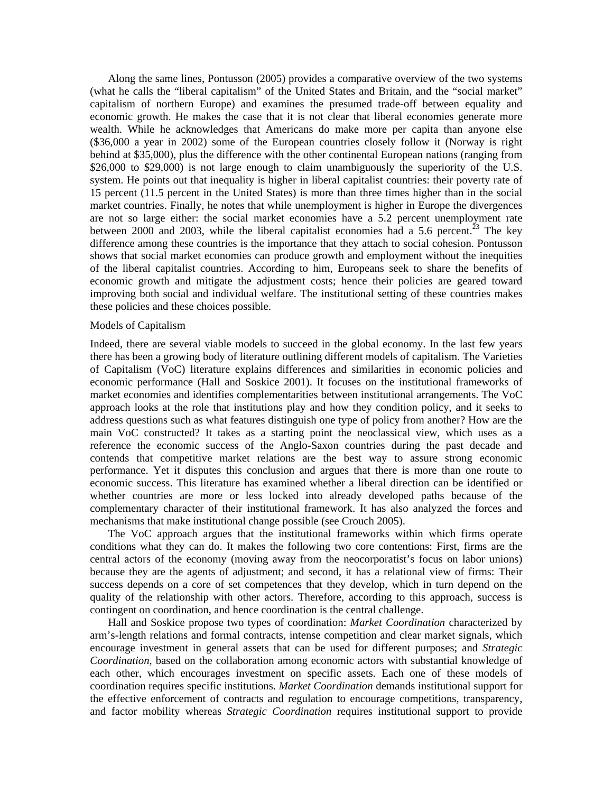Along the same lines, Pontusson (2005) provides a comparative overview of the two systems (what he calls the "liberal capitalism" of the United States and Britain, and the "social market" capitalism of northern Europe) and examines the presumed trade-off between equality and economic growth. He makes the case that it is not clear that liberal economies generate more wealth. While he acknowledges that Americans do make more per capita than anyone else (\$36,000 a year in 2002) some of the European countries closely follow it (Norway is right behind at \$35,000), plus the difference with the other continental European nations (ranging from \$26,000 to \$29,000) is not large enough to claim unambiguously the superiority of the U.S. system. He points out that inequality is higher in liberal capitalist countries: their poverty rate of 15 percent (11.5 percent in the United States) is more than three times higher than in the social market countries. Finally, he notes that while unemployment is higher in Europe the divergences are not so large either: the social market economies have a 5.2 percent unemployment rate between 2000 and 2003, while the liberal capitalist economies had a 5.6 percent.<sup>23</sup> The key difference among these countries is the importance that they attach to social cohesion. Pontusson shows that social market economies can produce growth and employment without the inequities of the liberal capitalist countries. According to him, Europeans seek to share the benefits of economic growth and mitigate the adjustment costs; hence their policies are geared toward improving both social and individual welfare. The institutional setting of these countries makes these policies and these choices possible.

#### Models of Capitalism

Indeed, there are several viable models to succeed in the global economy. In the last few years there has been a growing body of literature outlining different models of capitalism. The Varieties of Capitalism (VoC) literature explains differences and similarities in economic policies and economic performance (Hall and Soskice 2001). It focuses on the institutional frameworks of market economies and identifies complementarities between institutional arrangements. The VoC approach looks at the role that institutions play and how they condition policy, and it seeks to address questions such as what features distinguish one type of policy from another? How are the main VoC constructed? It takes as a starting point the neoclassical view, which uses as a reference the economic success of the Anglo-Saxon countries during the past decade and contends that competitive market relations are the best way to assure strong economic performance. Yet it disputes this conclusion and argues that there is more than one route to economic success. This literature has examined whether a liberal direction can be identified or whether countries are more or less locked into already developed paths because of the complementary character of their institutional framework. It has also analyzed the forces and mechanisms that make institutional change possible (see Crouch 2005).

The VoC approach argues that the institutional frameworks within which firms operate conditions what they can do. It makes the following two core contentions: First, firms are the central actors of the economy (moving away from the neocorporatist's focus on labor unions) because they are the agents of adjustment; and second, it has a relational view of firms: Their success depends on a core of set competences that they develop, which in turn depend on the quality of the relationship with other actors. Therefore, according to this approach, success is contingent on coordination, and hence coordination is the central challenge.

Hall and Soskice propose two types of coordination: *Market Coordination* characterized by arm's-length relations and formal contracts, intense competition and clear market signals, which encourage investment in general assets that can be used for different purposes; and *Strategic Coordination*, based on the collaboration among economic actors with substantial knowledge of each other, which encourages investment on specific assets. Each one of these models of coordination requires specific institutions. *Market Coordination* demands institutional support for the effective enforcement of contracts and regulation to encourage competitions, transparency, and factor mobility whereas *Strategic Coordination* requires institutional support to provide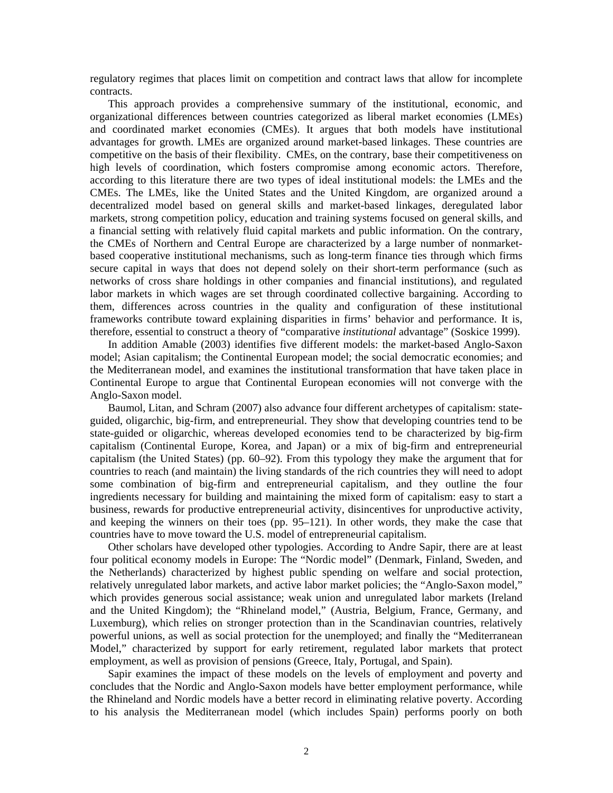regulatory regimes that places limit on competition and contract laws that allow for incomplete contracts.

This approach provides a comprehensive summary of the institutional, economic, and organizational differences between countries categorized as liberal market economies (LMEs) and coordinated market economies (CMEs). It argues that both models have institutional advantages for growth. LMEs are organized around market-based linkages. These countries are competitive on the basis of their flexibility. CMEs, on the contrary, base their competitiveness on high levels of coordination, which fosters compromise among economic actors. Therefore, according to this literature there are two types of ideal institutional models: the LMEs and the CMEs. The LMEs, like the United States and the United Kingdom, are organized around a decentralized model based on general skills and market-based linkages, deregulated labor markets, strong competition policy, education and training systems focused on general skills, and a financial setting with relatively fluid capital markets and public information. On the contrary, the CMEs of Northern and Central Europe are characterized by a large number of nonmarketbased cooperative institutional mechanisms, such as long-term finance ties through which firms secure capital in ways that does not depend solely on their short-term performance (such as networks of cross share holdings in other companies and financial institutions), and regulated labor markets in which wages are set through coordinated collective bargaining. According to them, differences across countries in the quality and configuration of these institutional frameworks contribute toward explaining disparities in firms' behavior and performance. It is, therefore, essential to construct a theory of "comparative *institutional* advantage" (Soskice 1999).

In addition Amable (2003) identifies five different models: the market-based Anglo-Saxon model; Asian capitalism; the Continental European model; the social democratic economies; and the Mediterranean model, and examines the institutional transformation that have taken place in Continental Europe to argue that Continental European economies will not converge with the Anglo-Saxon model.

Baumol, Litan, and Schram (2007) also advance four different archetypes of capitalism: stateguided, oligarchic, big-firm, and entrepreneurial. They show that developing countries tend to be state-guided or oligarchic, whereas developed economies tend to be characterized by big-firm capitalism (Continental Europe, Korea, and Japan) or a mix of big-firm and entrepreneurial capitalism (the United States) (pp. 60–92). From this typology they make the argument that for countries to reach (and maintain) the living standards of the rich countries they will need to adopt some combination of big-firm and entrepreneurial capitalism, and they outline the four ingredients necessary for building and maintaining the mixed form of capitalism: easy to start a business, rewards for productive entrepreneurial activity, disincentives for unproductive activity, and keeping the winners on their toes (pp. 95–121). In other words, they make the case that countries have to move toward the U.S. model of entrepreneurial capitalism.

Other scholars have developed other typologies. According to Andre Sapir, there are at least four political economy models in Europe: The "Nordic model" (Denmark, Finland, Sweden, and the Netherlands) characterized by highest public spending on welfare and social protection, relatively unregulated labor markets, and active labor market policies; the "Anglo-Saxon model," which provides generous social assistance; weak union and unregulated labor markets (Ireland and the United Kingdom); the "Rhineland model," (Austria, Belgium, France, Germany, and Luxemburg), which relies on stronger protection than in the Scandinavian countries, relatively powerful unions, as well as social protection for the unemployed; and finally the "Mediterranean Model," characterized by support for early retirement, regulated labor markets that protect employment, as well as provision of pensions (Greece, Italy, Portugal, and Spain).

Sapir examines the impact of these models on the levels of employment and poverty and concludes that the Nordic and Anglo-Saxon models have better employment performance, while the Rhineland and Nordic models have a better record in eliminating relative poverty. According to his analysis the Mediterranean model (which includes Spain) performs poorly on both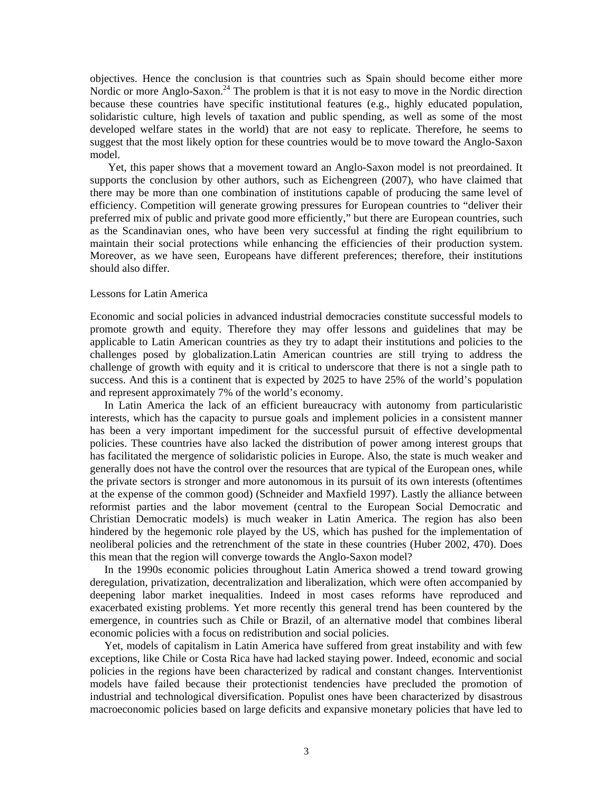objectives. Hence the conclusion is that countries such as Spain should become either more Nordic or more Anglo-Saxon.<sup>24</sup> The problem is that it is not easy to move in the Nordic direction because these countries have specific institutional features (e.g., highly educated population, solidaristic culture, high levels of taxation and public spending, as well as some of the most developed welfare states in the world) that are not easy to replicate. Therefore, he seems to suggest that the most likely option for these countries would be to move toward the Anglo-Saxon model.

Yet, this paper shows that a movement toward an Anglo-Saxon model is not preordained. It supports the conclusion by other authors, such as Eichengreen (2007), who have claimed that there may be more than one combination of institutions capable of producing the same level of efficiency. Competition will generate growing pressures for European countries to "deliver their preferred mix of public and private good more efficiently," but there are European countries, such as the Scandinavian ones, who have been very successful at finding the right equilibrium to maintain their social protections while enhancing the efficiencies of their production system. Moreover, as we have seen, Europeans have different preferences; therefore, their institutions should also differ.

#### Lessons for Latin America

Economic and social policies in advanced industrial democracies constitute successful models to promote growth and equity. Therefore they may offer lessons and guidelines that may be applicable to Latin American countries as they try to adapt their institutions and policies to the challenges posed by globalization.Latin American countries are still trying to address the challenge of growth with equity and it is critical to underscore that there is not a single path to success. And this is a continent that is expected by 2025 to have 25% of the world's population and represent approximately 7% of the world's economy.

In Latin America the lack of an efficient bureaucracy with autonomy from particularistic interests, which has the capacity to pursue goals and implement policies in a consistent manner has been a very important impediment for the successful pursuit of effective developmental policies. These countries have also lacked the distribution of power among interest groups that has facilitated the mergence of solidaristic policies in Europe. Also, the state is much weaker and generally does not have the control over the resources that are typical of the European ones, while the private sectors is stronger and more autonomous in its pursuit of its own interests (oftentimes at the expense of the common good) (Schneider and Maxfield 1997). Lastly the alliance between reformist parties and the labor movement (central to the European Social Democratic and Christian Democratic models) is much weaker in Latin America. The region has also been hindered by the hegemonic role played by the US, which has pushed for the implementation of neoliberal policies and the retrenchment of the state in these countries (Huber 2002, 470). Does this mean that the region will converge towards the Anglo-Saxon model?

In the 1990s economic policies throughout Latin America showed a trend toward growing deregulation, privatization, decentralization and liberalization, which were often accompanied by deepening labor market inequalities. Indeed in most cases reforms have reproduced and exacerbated existing problems. Yet more recently this general trend has been countered by the emergence, in countries such as Chile or Brazil, of an alternative model that combines liberal economic policies with a focus on redistribution and social policies.

Yet, models of capitalism in Latin America have suffered from great instability and with few exceptions, like Chile or Costa Rica have had lacked staying power. Indeed, economic and social policies in the regions have been characterized by radical and constant changes. Interventionist models have failed because their protectionist tendencies have precluded the promotion of industrial and technological diversification. Populist ones have been characterized by disastrous macroeconomic policies based on large deficits and expansive monetary policies that have led to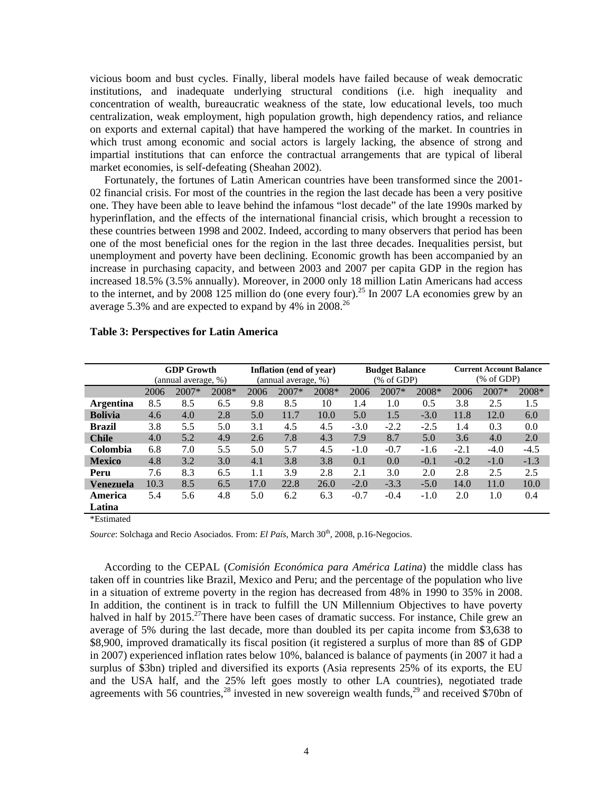vicious boom and bust cycles. Finally, liberal models have failed because of weak democratic institutions, and inadequate underlying structural conditions (i.e. high inequality and concentration of wealth, bureaucratic weakness of the state, low educational levels, too much centralization, weak employment, high population growth, high dependency ratios, and reliance on exports and external capital) that have hampered the working of the market. In countries in which trust among economic and social actors is largely lacking, the absence of strong and impartial institutions that can enforce the contractual arrangements that are typical of liberal market economies, is self-defeating (Sheahan 2002).

Fortunately, the fortunes of Latin American countries have been transformed since the 2001- 02 financial crisis. For most of the countries in the region the last decade has been a very positive one. They have been able to leave behind the infamous "lost decade" of the late 1990s marked by hyperinflation, and the effects of the international financial crisis, which brought a recession to these countries between 1998 and 2002. Indeed, according to many observers that period has been one of the most beneficial ones for the region in the last three decades. Inequalities persist, but unemployment and poverty have been declining. Economic growth has been accompanied by an increase in purchasing capacity, and between 2003 and 2007 per capita GDP in the region has increased 18.5% (3.5% annually). Moreover, in 2000 only 18 million Latin Americans had access to the internet, and by 2008 125 million do (one every four).<sup>25</sup> In 2007 LA economies grew by an average 5.3% and are expected to expand by 4% in  $2008^{26}$ 

|                  | <b>GDP Growth</b><br>(annual average, %) |       | Inflation (end of year)<br>(annual average, %) |      |       | <b>Budget Balance</b><br>% of GDP |        |        | <b>Current Account Balance</b><br>$(\% \text{ of GDP})$ |        |        |        |
|------------------|------------------------------------------|-------|------------------------------------------------|------|-------|-----------------------------------|--------|--------|---------------------------------------------------------|--------|--------|--------|
|                  | 2006                                     | 2007* | 2008*                                          | 2006 | 2007* | 2008*                             | 2006   | 2007*  | 2008*                                                   | 2006   | 2007*  | 2008*  |
| <b>Argentina</b> | 8.5                                      | 8.5   | 6.5                                            | 9.8  | 8.5   | 10                                | 1.4    | 1.0    | 0.5                                                     | 3.8    | 2.5    | 1.5    |
| <b>Bolivia</b>   | 4.6                                      | 4.0   | 2.8                                            | 5.0  | 11.7  | 10.0                              | 5.0    | 1.5    | $-3.0$                                                  | 11.8   | 12.0   | 6.0    |
| <b>Brazil</b>    | 3.8                                      | 5.5   | 5.0                                            | 3.1  | 4.5   | 4.5                               | $-3.0$ | $-2.2$ | $-2.5$                                                  | 1.4    | 0.3    | 0.0    |
| <b>Chile</b>     | 4.0                                      | 5.2   | 4.9                                            | 2.6  | 7.8   | 4.3                               | 7.9    | 8.7    | 5.0                                                     | 3.6    | 4.0    | 2.0    |
| <b>Colombia</b>  | 6.8                                      | 7.0   | 5.5                                            | 5.0  | 5.7   | 4.5                               | $-1.0$ | $-0.7$ | $-1.6$                                                  | $-2.1$ | $-4.0$ | $-4.5$ |
| <b>Mexico</b>    | 4.8                                      | 3.2   | 3.0                                            | 4.1  | 3.8   | 3.8                               | 0.1    | 0.0    | $-0.1$                                                  | $-0.2$ | $-1.0$ | $-1.3$ |
| Peru             | 7.6                                      | 8.3   | 6.5                                            | 1.1  | 3.9   | 2.8                               | 2.1    | 3.0    | 2.0                                                     | 2.8    | 2.5    | 2.5    |
| <b>Venezuela</b> | 10.3                                     | 8.5   | 6.5                                            | 17.0 | 22.8  | 26.0                              | $-2.0$ | $-3.3$ | $-5.0$                                                  | 14.0   | 11.0   | 10.0   |
| America          | 5.4                                      | 5.6   | 4.8                                            | 5.0  | 6.2   | 6.3                               | $-0.7$ | $-0.4$ | $-1.0$                                                  | 2.0    | 1.0    | 0.4    |
| Latina           |                                          |       |                                                |      |       |                                   |        |        |                                                         |        |        |        |

\*Estimated

*Source*: Solchaga and Recio Asociados. From: *El País*, March 30<sup>th</sup>, 2008, p.16-Negocios.

According to the CEPAL (*Comisión Económica para América Latina*) the middle class has taken off in countries like Brazil, Mexico and Peru; and the percentage of the population who live in a situation of extreme poverty in the region has decreased from 48% in 1990 to 35% in 2008. In addition, the continent is in track to fulfill the UN Millennium Objectives to have poverty halved in half by 2015.<sup>27</sup>There have been cases of dramatic success. For instance, Chile grew an average of 5% during the last decade, more than doubled its per capita income from \$3,638 to \$8,900, improved dramatically its fiscal position (it registered a surplus of more than 8\$ of GDP in 2007) experienced inflation rates below 10%, balanced is balance of payments (in 2007 it had a surplus of \$3bn) tripled and diversified its exports (Asia represents 25% of its exports, the EU and the USA half, and the 25% left goes mostly to other LA countries), negotiated trade agreements with 56 countries, $2^8$  invested in new sovereign wealth funds, $2^9$  and received \$70bn of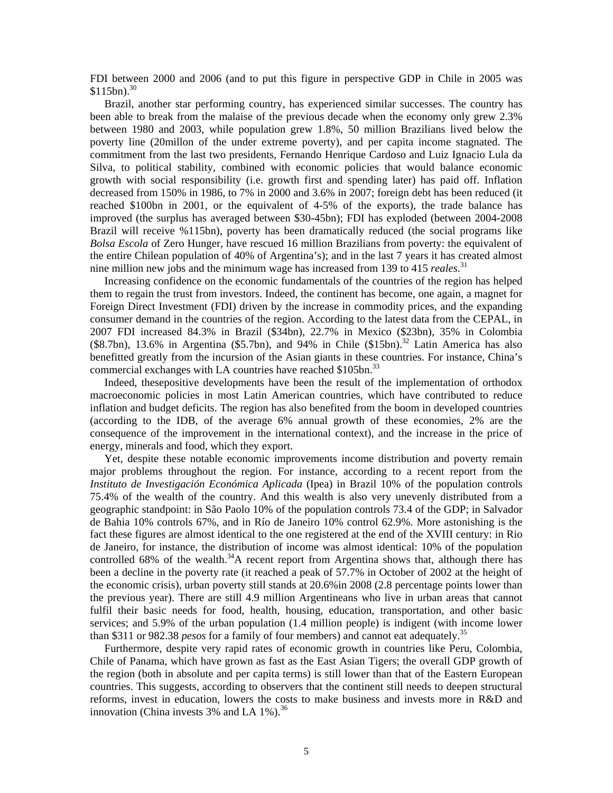FDI between 2000 and 2006 (and to put this figure in perspective GDP in Chile in 2005 was  $$115bn$ .<sup>30</sup>

Brazil, another star performing country, has experienced similar successes. The country has been able to break from the malaise of the previous decade when the economy only grew 2.3% between 1980 and 2003, while population grew 1.8%, 50 million Brazilians lived below the poverty line (20millon of the under extreme poverty), and per capita income stagnated. The commitment from the last two presidents, Fernando Henrique Cardoso and Luiz Ignacio Lula da Silva, to political stability, combined with economic policies that would balance economic growth with social responsibility (i.e. growth first and spending later) has paid off. Inflation decreased from 150% in 1986, to 7% in 2000 and 3.6% in 2007; foreign debt has been reduced (it reached \$100bn in 2001, or the equivalent of 4-5% of the exports), the trade balance has improved (the surplus has averaged between \$30-45bn); FDI has exploded (between 2004-2008 Brazil will receive %115bn), poverty has been dramatically reduced (the social programs like *Bolsa Escola* of Zero Hunger, have rescued 16 million Brazilians from poverty: the equivalent of the entire Chilean population of 40% of Argentina's); and in the last 7 years it has created almost nine million new jobs and the minimum wage has increased from 139 to 415 *reales*. 31

Increasing confidence on the economic fundamentals of the countries of the region has helped them to regain the trust from investors. Indeed, the continent has become, one again, a magnet for Foreign Direct Investment (FDI) driven by the increase in commodity prices, and the expanding consumer demand in the countries of the region. According to the latest data from the CEPAL, in 2007 FDI increased 84.3% in Brazil (\$34bn), 22.7% in Mexico (\$23bn), 35% in Colombia (\$8.7bn), 13.6% in Argentina (\$5.7bn), and 94% in Chile (\$15bn).<sup>32</sup> Latin America has also benefitted greatly from the incursion of the Asian giants in these countries. For instance, China's commercial exchanges with LA countries have reached  $$105bn.<sup>33</sup>$ 

Indeed, thesepositive developments have been the result of the implementation of orthodox macroeconomic policies in most Latin American countries, which have contributed to reduce inflation and budget deficits. The region has also benefited from the boom in developed countries (according to the IDB, of the average 6% annual growth of these economies, 2% are the consequence of the improvement in the international context), and the increase in the price of energy, minerals and food, which they export.

Yet, despite these notable economic improvements income distribution and poverty remain major problems throughout the region. For instance, according to a recent report from the *Instituto de Investigación Económica Aplicada* (Ipea) in Brazil 10% of the population controls 75.4% of the wealth of the country. And this wealth is also very unevenly distributed from a geographic standpoint: in São Paolo 10% of the population controls 73.4 of the GDP; in Salvador de Bahia 10% controls 67%, and in Río de Janeiro 10% control 62.9%. More astonishing is the fact these figures are almost identical to the one registered at the end of the XVIII century: in Rio de Janeiro, for instance, the distribution of income was almost identical: 10% of the population controlled 68% of the wealth.<sup>34</sup>A recent report from Argentina shows that, although there has been a decline in the poverty rate (it reached a peak of 57.7% in October of 2002 at the height of the economic crisis), urban poverty still stands at 20.6%in 2008 (2.8 percentage points lower than the previous year). There are still 4.9 million Argentineans who live in urban areas that cannot fulfil their basic needs for food, health, housing, education, transportation, and other basic services; and 5.9% of the urban population (1.4 million people) is indigent (with income lower than \$311 or 982.38 *pesos* for a family of four members) and cannot eat adequately.35

Furthermore, despite very rapid rates of economic growth in countries like Peru, Colombia, Chile of Panama, which have grown as fast as the East Asian Tigers; the overall GDP growth of the region (both in absolute and per capita terms) is still lower than that of the Eastern European countries. This suggests, according to observers that the continent still needs to deepen structural reforms, invest in education, lowers the costs to make business and invests more in R&D and innovation (China invests  $3\%$  and LA  $1\%$ ).<sup>36</sup>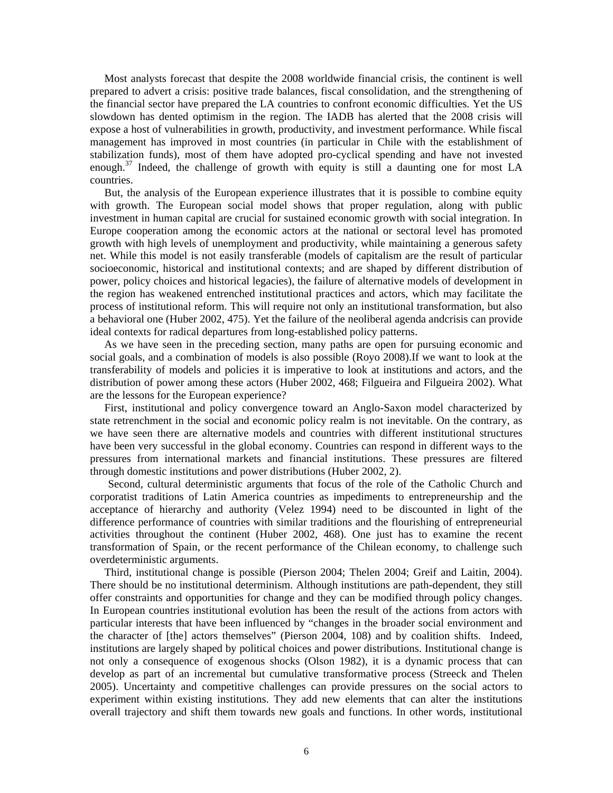Most analysts forecast that despite the 2008 worldwide financial crisis, the continent is well prepared to advert a crisis: positive trade balances, fiscal consolidation, and the strengthening of the financial sector have prepared the LA countries to confront economic difficulties. Yet the US slowdown has dented optimism in the region. The IADB has alerted that the 2008 crisis will expose a host of vulnerabilities in growth, productivity, and investment performance. While fiscal management has improved in most countries (in particular in Chile with the establishment of stabilization funds), most of them have adopted pro-cyclical spending and have not invested enough. $37$  Indeed, the challenge of growth with equity is still a daunting one for most LA countries.

But, the analysis of the European experience illustrates that it is possible to combine equity with growth. The European social model shows that proper regulation, along with public investment in human capital are crucial for sustained economic growth with social integration. In Europe cooperation among the economic actors at the national or sectoral level has promoted growth with high levels of unemployment and productivity, while maintaining a generous safety net. While this model is not easily transferable (models of capitalism are the result of particular socioeconomic, historical and institutional contexts; and are shaped by different distribution of power, policy choices and historical legacies), the failure of alternative models of development in the region has weakened entrenched institutional practices and actors, which may facilitate the process of institutional reform. This will require not only an institutional transformation, but also a behavioral one (Huber 2002, 475). Yet the failure of the neoliberal agenda andcrisis can provide ideal contexts for radical departures from long-established policy patterns.

As we have seen in the preceding section, many paths are open for pursuing economic and social goals, and a combination of models is also possible (Royo 2008).If we want to look at the transferability of models and policies it is imperative to look at institutions and actors, and the distribution of power among these actors (Huber 2002, 468; Filgueira and Filgueira 2002). What are the lessons for the European experience?

First, institutional and policy convergence toward an Anglo-Saxon model characterized by state retrenchment in the social and economic policy realm is not inevitable. On the contrary, as we have seen there are alternative models and countries with different institutional structures have been very successful in the global economy. Countries can respond in different ways to the pressures from international markets and financial institutions. These pressures are filtered through domestic institutions and power distributions (Huber 2002, 2).

Second, cultural deterministic arguments that focus of the role of the Catholic Church and corporatist traditions of Latin America countries as impediments to entrepreneurship and the acceptance of hierarchy and authority (Velez 1994) need to be discounted in light of the difference performance of countries with similar traditions and the flourishing of entrepreneurial activities throughout the continent (Huber 2002, 468). One just has to examine the recent transformation of Spain, or the recent performance of the Chilean economy, to challenge such overdeterministic arguments.

Third, institutional change is possible (Pierson 2004; Thelen 2004; Greif and Laitin, 2004). There should be no institutional determinism. Although institutions are path-dependent, they still offer constraints and opportunities for change and they can be modified through policy changes. In European countries institutional evolution has been the result of the actions from actors with particular interests that have been influenced by "changes in the broader social environment and the character of [the] actors themselves" (Pierson 2004, 108) and by coalition shifts. Indeed, institutions are largely shaped by political choices and power distributions. Institutional change is not only a consequence of exogenous shocks (Olson 1982), it is a dynamic process that can develop as part of an incremental but cumulative transformative process (Streeck and Thelen 2005). Uncertainty and competitive challenges can provide pressures on the social actors to experiment within existing institutions. They add new elements that can alter the institutions overall trajectory and shift them towards new goals and functions. In other words, institutional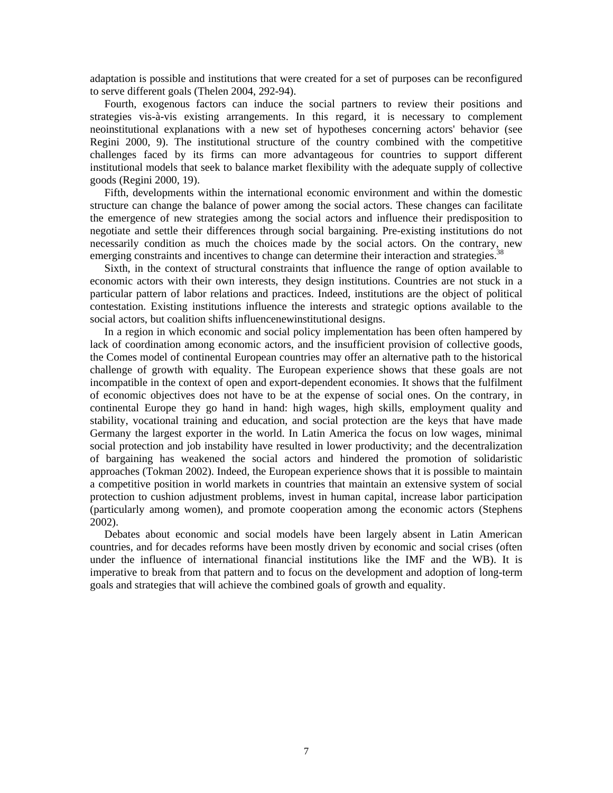adaptation is possible and institutions that were created for a set of purposes can be reconfigured to serve different goals (Thelen 2004, 292-94).

Fourth, exogenous factors can induce the social partners to review their positions and strategies vis-à-vis existing arrangements. In this regard, it is necessary to complement neoinstitutional explanations with a new set of hypotheses concerning actors' behavior (see Regini 2000, 9). The institutional structure of the country combined with the competitive challenges faced by its firms can more advantageous for countries to support different institutional models that seek to balance market flexibility with the adequate supply of collective goods (Regini 2000, 19).

Fifth, developments within the international economic environment and within the domestic structure can change the balance of power among the social actors. These changes can facilitate the emergence of new strategies among the social actors and influence their predisposition to negotiate and settle their differences through social bargaining. Pre-existing institutions do not necessarily condition as much the choices made by the social actors. On the contrary, new emerging constraints and incentives to change can determine their interaction and strategies.<sup>3</sup>

Sixth, in the context of structural constraints that influence the range of option available to economic actors with their own interests, they design institutions. Countries are not stuck in a particular pattern of labor relations and practices. Indeed, institutions are the object of political contestation. Existing institutions influence the interests and strategic options available to the social actors, but coalition shifts influencenewinstitutional designs.

In a region in which economic and social policy implementation has been often hampered by lack of coordination among economic actors, and the insufficient provision of collective goods, the Comes model of continental European countries may offer an alternative path to the historical challenge of growth with equality. The European experience shows that these goals are not incompatible in the context of open and export-dependent economies. It shows that the fulfilment of economic objectives does not have to be at the expense of social ones. On the contrary, in continental Europe they go hand in hand: high wages, high skills, employment quality and stability, vocational training and education, and social protection are the keys that have made Germany the largest exporter in the world. In Latin America the focus on low wages, minimal social protection and job instability have resulted in lower productivity; and the decentralization of bargaining has weakened the social actors and hindered the promotion of solidaristic approaches (Tokman 2002). Indeed, the European experience shows that it is possible to maintain a competitive position in world markets in countries that maintain an extensive system of social protection to cushion adjustment problems, invest in human capital, increase labor participation (particularly among women), and promote cooperation among the economic actors (Stephens 2002).

Debates about economic and social models have been largely absent in Latin American countries, and for decades reforms have been mostly driven by economic and social crises (often under the influence of international financial institutions like the IMF and the WB). It is imperative to break from that pattern and to focus on the development and adoption of long-term goals and strategies that will achieve the combined goals of growth and equality.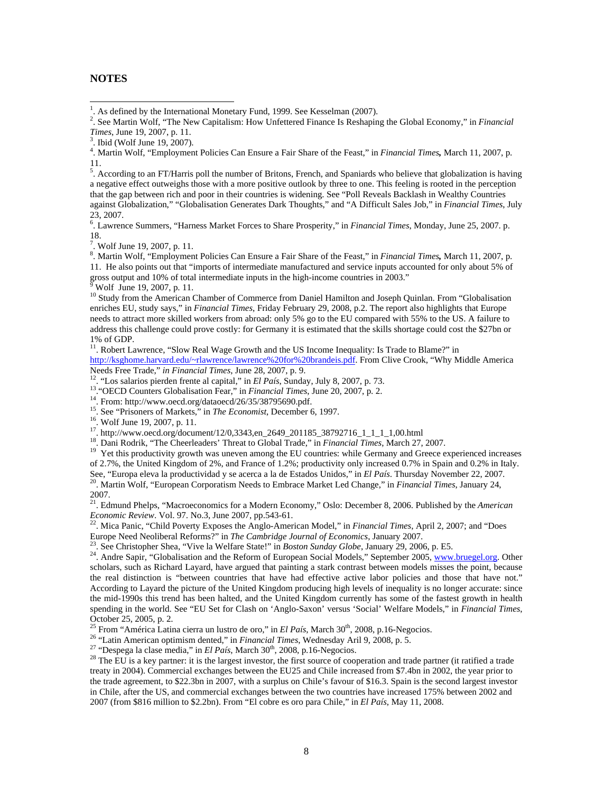#### **NOTES**

<sup>5</sup>. According to an FT/Harris poll the number of Britons, French, and Spaniards who believe that globalization is having a negative effect outweighs those with a more positive outlook by three to one. This feeling is rooted in the perception that the gap between rich and poor in their countries is widening. See "Poll Reveals Backlash in Wealthy Countries against Globalization," "Globalisation Generates Dark Thoughts," and "A Difficult Sales Job," in *Financial Times*, July 23, 2007.

6 . Lawrence Summers, "Harness Market Forces to Share Prosperity," in *Financial Times*, Monday, June 25, 2007. p. 18.

7 . Wolf June 19, 2007, p. 11.

8 . Martin Wolf, "Employment Policies Can Ensure a Fair Share of the Feast," in *Financial Times,* March 11, 2007, p. 11. He also points out that "imports of intermediate manufactured and service inputs accounted for only about 5% of gross output and 10% of total intermediate inputs in the high-income countries in 2003." <sup>9</sup>

Wolf June 19, 2007, p. 11.

<sup>10</sup> Study from the American Chamber of Commerce from Daniel Hamilton and Joseph Quinlan. From "Globalisation enriches EU, study says," in *Financial Times*, Friday February 29, 2008, p.2. The report also highlights that Europe needs to attract more skilled workers from abroad: only 5% go to the EU compared with 55% to the US. A failure to address this challenge could prove costly: for Germany it is estimated that the skills shortage could cost the \$27bn or 1% of GDP.

<sup>11</sup>. Robert Lawrence, "Slow Real Wage Growth and the US Income Inequality: Is Trade to Blame?" in

http://ksghome.harvard.edu/~rlawrence/lawrence%20for%20brandeis.pdf. From Clive Crook, "Why Middle America<br>Needs Free Trade," in Financial Times, June 28, 2007, p. 9.

<sup>12</sup>. "Los salarios pierden frente al capital," in *El País*, Sunday, July 8, 2007, p. 73.<br><sup>13</sup>. "OECD Counters Globalisation Fear," in *Financial Times*, June 20, 2007, p. 2.<br><sup>14</sup>. From: http://www.oecd.org/dataoecd/26/3

<sup>15</sup>. See "Prisoners of Markets," in *The Economist*, December 6, 1997.<br><sup>16</sup>. Wolf June 19, 2007, p. 11.<br><sup>17</sup>. http://www.oecd.org/document/12/0,3343,en\_2649\_201185\_38792716\_1\_1\_1\_1,00.html

<sup>18</sup>. Dani Rodrik, "The Cheerleaders' Threat to Global Trade," in *Financial Times*, March 27, 2007.<br><sup>19</sup> Yet this productivity growth was uneven among the EU countries: while Germany and Greece experienced increases of 2.7%, the United Kingdom of 2%, and France of 1.2%; productivity only increased 0.7% in Spain and 0.2% in Italy.<br>See, "Europa eleva la productividad y se acerca a la de Estados Unidos," in *El País*. Thursday November 2

<sup>20</sup>. Martin Wolf, "European Corporatism Needs to Embrace Market Led Change," in *Financial Times*, January 24, 2007.

21. Edmund Phelps, "Macroeconomics for a Modern Economy," Oslo: December 8, 2006. Published by the *American* 

*Economic Review.* Vol. 97. No.3, June 2007, pp.543-61.<br><sup>22</sup>. Mica Panic, "Child Poverty Exposes the Anglo-American Model," in *Financial Times*, April 2, 2007; and "Does<br>Europe Need Neoliberal Reforms?" in *The Cambridge* 

23. See Christopher Shea, "Vive la Welfare State!" in *Boston Sunday Globe*, January 29, 2006, p. E5.<br><sup>24</sup>. Andre Sapir, "Globalisation and the Reform of European Social Models," September 2005, <u>www.bruegel.org</u>. Other scholars, such as Richard Layard, have argued that painting a stark contrast between models misses the point, because the real distinction is "between countries that have had effective active labor policies and those that have not." According to Layard the picture of the United Kingdom producing high levels of inequality is no longer accurate: since the mid-1990s this trend has been halted, and the United Kingdom currently has some of the fastest growth in health spending in the world. See "EU Set for Clash on 'Anglo-Saxon' versus 'Social' Welfare Models," in *Financial Times*, October 25, 2005, p. 2.<br>
<sup>25</sup> From "América Latina cierra un lustro de oro," in *El País*, March 30<sup>th</sup>, 2008, p.16-Negocios.

<sup>26</sup> "Latin American optimism dented," in *Financial Times*, Wednesday Aril 9, 2008, p. 5.<br><sup>27</sup> "Despega la clase media," in *El País*, March 30<sup>th</sup>, 2008, p.16-Negocios.<br><sup>28</sup> The EU is a key partner: it is the largest in treaty in 2004). Commercial exchanges between the EU25 and Chile increased from \$7.4bn in 2002, the year prior to the trade agreement, to \$22.3bn in 2007, with a surplus on Chile's favour of \$16.3. Spain is the second largest investor in Chile, after the US, and commercial exchanges between the two countries have increased 175% between 2002 and 2007 (from \$816 million to \$2.2bn). From "El cobre es oro para Chile," in *El País*, May 11, 2008.

 $\frac{1}{1}$ 

<sup>&</sup>lt;sup>1</sup>. As defined by the International Monetary Fund, 1999. See Kesselman (2007).<br><sup>2</sup>. See Martin Wolf, ''The New Capitalism: How Unfettered Finance Is Reshaping the Global Economy,'' in *Financial Times*, June 19, 2007, p. 11. 3

<sup>.</sup> Ibid (Wolf June 19, 2007).

<sup>4</sup> . Martin Wolf, "Employment Policies Can Ensure a Fair Share of the Feast," in *Financial Times,* March 11, 2007, p. 11.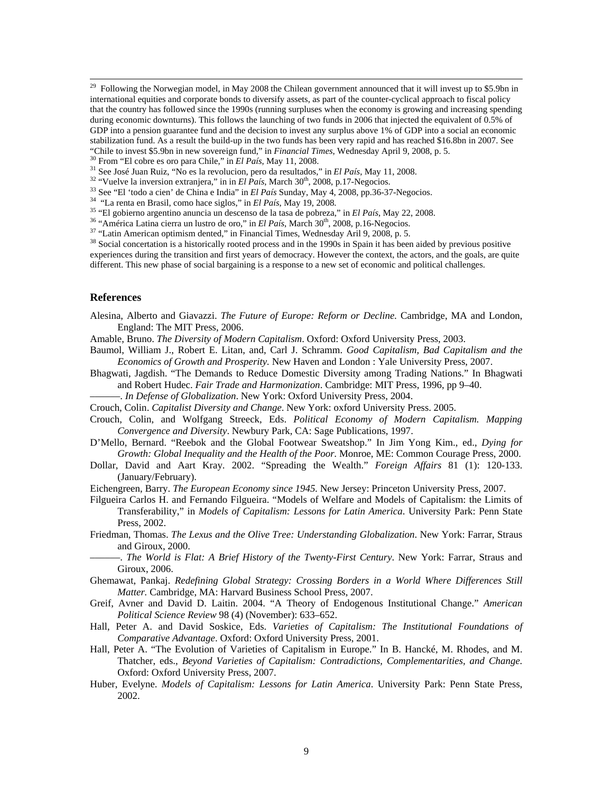<sup>29</sup> Following the Norwegian model, in May 2008 the Chilean government announced that it will invest up to \$5.9bn in international equities and corporate bonds to diversify assets, as part of the counter-cyclical approach to fiscal policy that the country has followed since the 1990s (running surpluses when the economy is growing and increasing spending during economic downturns). This follows the launching of two funds in 2006 that injected the equivalent of 0.5% of GDP into a pension guarantee fund and the decision to invest any surplus above 1% of GDP into a social an economic stabilization fund. As a result the build-up in the two funds has been very rapid and has reached \$16.8bn in 2007. See

"Chile to invest \$5.9bn in new sovereign fund," in *Financial Times*, Wednesday April 9, 2008, p. 5.<br><sup>30</sup> From "El cobre es oro para Chile," in *El País*, May 11, 2008.<br><sup>31</sup> See José Juan Ruiz, "No es la revolucion, pero experiences during the transition and first years of democracy. However the context, the actors, and the goals, are quite different. This new phase of social bargaining is a response to a new set of economic and political challenges.

#### **References**

Alesina, Alberto and Giavazzi. *The Future of Europe: Reform or Decline.* Cambridge, MA and London, England: The MIT Press, 2006.

Amable, Bruno. *The Diversity of Modern Capitalism*. Oxford: Oxford University Press, 2003.

- Baumol, William J., Robert E. Litan, and, Carl J. Schramm. *Good Capitalism, Bad Capitalism and the Economics of Growth and Prosperity.* New Haven and London : Yale University Press, 2007.
- Bhagwati, Jagdish. "The Demands to Reduce Domestic Diversity among Trading Nations." In Bhagwati and Robert Hudec. *Fair Trade and Harmonization*. Cambridge: MIT Press, 1996, pp 9–40.

––––––. *In Defense of Globalization*. New York: Oxford University Press, 2004.

Crouch, Colin. *Capitalist Diversity and Change*. New York: oxford University Press. 2005.

- Crouch, Colin, and Wolfgang Streeck, Eds. *Political Economy of Modern Capitalism. Mapping Convergence and Diversity*. Newbury Park, CA: Sage Publications, 1997.
- D'Mello, Bernard. "Reebok and the Global Footwear Sweatshop." In Jim Yong Kim., ed., *Dying for Growth: Global Inequality and the Health of the Poor.* Monroe, ME: Common Courage Press, 2000.
- Dollar, David and Aart Kray. 2002. "Spreading the Wealth." *Foreign Affairs* 81 (1): 120-133. (January/February).
- Eichengreen, Barry. *The European Economy since 1945.* New Jersey: Princeton University Press, 2007.
- Filgueira Carlos H. and Fernando Filgueira. "Models of Welfare and Models of Capitalism: the Limits of Transferability," in *Models of Capitalism: Lessons for Latin America*. University Park: Penn State Press, 2002.
- Friedman, Thomas. *The Lexus and the Olive Tree: Understanding Globalization*. New York: Farrar, Straus and Giroux, 2000.
- ––––––. *The World is Flat: A Brief History of the Twenty-First Century*. New York: Farrar, Straus and Giroux, 2006.
- Ghemawat, Pankaj. *Redefining Global Strategy: Crossing Borders in a World Where Differences Still Matter.* Cambridge, MA: Harvard Business School Press, 2007.
- Greif, Avner and David D. Laitin. 2004. "A Theory of Endogenous Institutional Change." *American Political Science Review* 98 (4) (November): 633–652.
- Hall, Peter A. and David Soskice, Eds. *Varieties of Capitalism: The Institutional Foundations of Comparative Advantage*. Oxford: Oxford University Press, 2001.
- Hall, Peter A. "The Evolution of Varieties of Capitalism in Europe." In B. Hancké, M. Rhodes, and M. Thatcher, eds., *Beyond Varieties of Capitalism: Contradictions, Complementarities, and Change.*  Oxford: Oxford University Press, 2007.
- Huber, Evelyne. *Models of Capitalism: Lessons for Latin America*. University Park: Penn State Press, 2002.